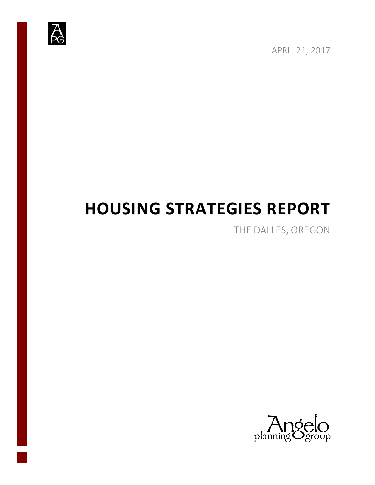

APRIL 21, 2017

# **HOUSING STRATEGIES REPORT**

THE DALLES, OREGON

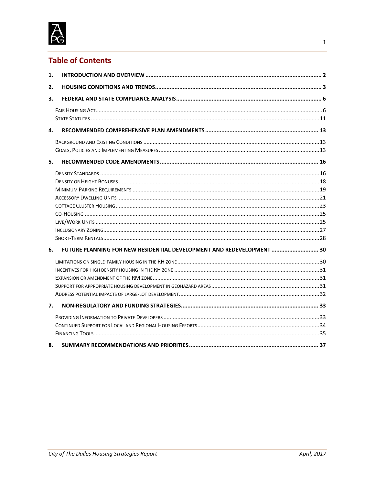

# **Table of Contents**

| 1. |                                                                       |  |
|----|-----------------------------------------------------------------------|--|
| 2. |                                                                       |  |
| 3. |                                                                       |  |
|    |                                                                       |  |
|    |                                                                       |  |
| 4. |                                                                       |  |
|    |                                                                       |  |
|    |                                                                       |  |
| 5. |                                                                       |  |
|    |                                                                       |  |
|    |                                                                       |  |
|    |                                                                       |  |
|    |                                                                       |  |
|    |                                                                       |  |
|    |                                                                       |  |
|    |                                                                       |  |
|    |                                                                       |  |
|    |                                                                       |  |
| 6. | FUTURE PLANNING FOR NEW RESIDENTIAL DEVELOPMENT AND REDEVELOPMENT  30 |  |
|    |                                                                       |  |
|    |                                                                       |  |
|    |                                                                       |  |
|    |                                                                       |  |
|    |                                                                       |  |
| 7. |                                                                       |  |
|    |                                                                       |  |
|    |                                                                       |  |
|    |                                                                       |  |
| 8. |                                                                       |  |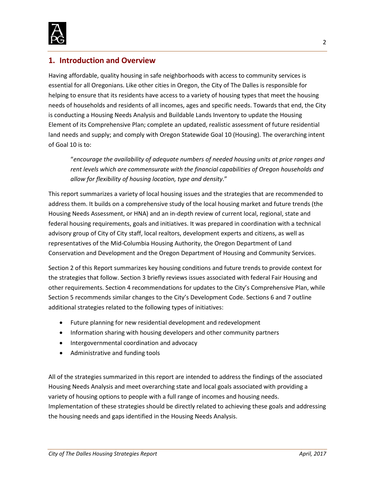

# <span id="page-2-0"></span>**1. Introduction and Overview**

Having affordable, quality housing in safe neighborhoods with access to community services is essential for all Oregonians. Like other cities in Oregon, the City of The Dalles is responsible for helping to ensure that its residents have access to a variety of housing types that meet the housing needs of households and residents of all incomes, ages and specific needs. Towards that end, the City is conducting a Housing Needs Analysis and Buildable Lands Inventory to update the Housing Element of its Comprehensive Plan; complete an updated, realistic assessment of future residential land needs and supply; and comply with Oregon Statewide Goal 10 (Housing). The overarching intent of Goal 10 is to:

"*encourage the availability of adequate numbers of needed housing units at price ranges and rent levels which are commensurate with the financial capabilities of Oregon households and allow for flexibility of housing location, type and density*."

This report summarizes a variety of local housing issues and the strategies that are recommended to address them. It builds on a comprehensive study of the local housing market and future trends (the Housing Needs Assessment, or HNA) and an in-depth review of current local, regional, state and federal housing requirements, goals and initiatives. It was prepared in coordination with a technical advisory group of City of City staff, local realtors, development experts and citizens, as well as representatives of the Mid-Columbia Housing Authority, the Oregon Department of Land Conservation and Development and the Oregon Department of Housing and Community Services.

Section 2 of this Report summarizes key housing conditions and future trends to provide context for the strategies that follow. Section 3 briefly reviews issues associated with federal Fair Housing and other requirements. Section 4 recommendations for updates to the City's Comprehensive Plan, while Section 5 recommends similar changes to the City's Development Code. Sections 6 and 7 outline additional strategies related to the following types of initiatives:

- Future planning for new residential development and redevelopment
- Information sharing with housing developers and other community partners
- Intergovernmental coordination and advocacy
- Administrative and funding tools

All of the strategies summarized in this report are intended to address the findings of the associated Housing Needs Analysis and meet overarching state and local goals associated with providing a variety of housing options to people with a full range of incomes and housing needs. Implementation of these strategies should be directly related to achieving these goals and addressing the housing needs and gaps identified in the Housing Needs Analysis.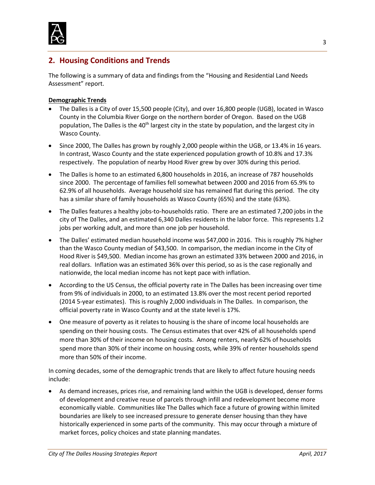

# <span id="page-3-0"></span>**2. Housing Conditions and Trends**

The following is a summary of data and findings from the "Housing and Residential Land Needs Assessment" report.

#### **Demographic Trends**

- The Dalles is a City of over 15,500 people (City), and over 16,800 people (UGB), located in Wasco County in the Columbia River Gorge on the northern border of Oregon. Based on the UGB population, The Dalles is the  $40<sup>th</sup>$  largest city in the state by population, and the largest city in Wasco County.
- Since 2000, The Dalles has grown by roughly 2,000 people within the UGB, or 13.4% in 16 years. In contrast, Wasco County and the state experienced population growth of 10.8% and 17.3% respectively. The population of nearby Hood River grew by over 30% during this period.
- The Dalles is home to an estimated 6,800 households in 2016, an increase of 787 households since 2000. The percentage of families fell somewhat between 2000 and 2016 from 65.9% to 62.9% of all households. Average household size has remained flat during this period. The city has a similar share of family households as Wasco County (65%) and the state (63%).
- The Dalles features a healthy jobs-to-households ratio. There are an estimated 7,200 jobs in the city of The Dalles, and an estimated 6,340 Dalles residents in the labor force. This represents 1.2 jobs per working adult, and more than one job per household.
- The Dalles' estimated median household income was \$47,000 in 2016. This is roughly 7% higher than the Wasco County median of \$43,500. In comparison, the median income in the City of Hood River is \$49,500. Median income has grown an estimated 33% between 2000 and 2016, in real dollars. Inflation was an estimated 36% over this period, so as is the case regionally and nationwide, the local median income has not kept pace with inflation.
- According to the US Census, the official poverty rate in The Dalles has been increasing over time from 9% of individuals in 2000, to an estimated 13.8% over the most recent period reported (2014 5-year estimates). This is roughly 2,000 individuals in The Dalles. In comparison, the official poverty rate in Wasco County and at the state level is 17%.
- One measure of poverty as it relates to housing is the share of income local households are spending on their housing costs. The Census estimates that over 42% of all households spend more than 30% of their income on housing costs. Among renters, nearly 62% of households spend more than 30% of their income on housing costs, while 39% of renter households spend more than 50% of their income.

In coming decades, some of the demographic trends that are likely to affect future housing needs include:

• As demand increases, prices rise, and remaining land within the UGB is developed, denser forms of development and creative reuse of parcels through infill and redevelopment become more economically viable. Communities like The Dalles which face a future of growing within limited boundaries are likely to see increased pressure to generate denser housing than they have historically experienced in some parts of the community. This may occur through a mixture of market forces, policy choices and state planning mandates.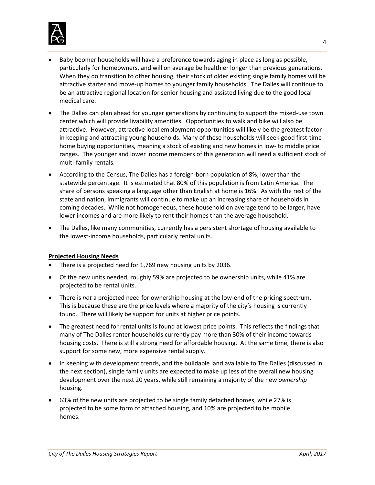

- Baby boomer households will have a preference towards aging in place as long as possible, particularly for homeowners, and will on average be healthier longer than previous generations. When they do transition to other housing, their stock of older existing single family homes will be attractive starter and move-up homes to younger family households. The Dalles will continue to be an attractive regional location for senior housing and assisted living due to the good local medical care.
- The Dalles can plan ahead for younger generations by continuing to support the mixed-use town center which will provide livability amenities. Opportunities to walk and bike will also be attractive. However, attractive local employment opportunities will likely be the greatest factor in keeping and attracting young households. Many of these households will seek good first-time home buying opportunities, meaning a stock of existing and new homes in low- to middle price ranges. The younger and lower income members of this generation will need a sufficient stock of multi-family rentals.
- According to the Census, The Dalles has a foreign-born population of 8%, lower than the statewide percentage. It is estimated that 80% of this population is from Latin America. The share of persons speaking a language other than English at home is 16%. As with the rest of the state and nation, immigrants will continue to make up an increasing share of households in coming decades. While not homogeneous, these household on average tend to be larger, have lower incomes and are more likely to rent their homes than the average household.
- The Dalles, like many communities, currently has a persistent shortage of housing available to the lowest-income households, particularly rental units.

#### **Projected Housing Needs**

- There is a projected need for 1,769 new housing units by 2036.
- Of the new units needed, roughly 59% are projected to be ownership units, while 41% are projected to be rental units.
- There is *not* a projected need for ownership housing at the low-end of the pricing spectrum. This is because these are the price levels where a majority of the city's housing is currently found. There will likely be support for units at higher price points.
- The greatest need for rental units is found at lowest price points. This reflects the findings that many of The Dalles renter households currently pay more than 30% of their income towards housing costs. There is still a strong need for affordable housing. At the same time, there is also support for some new, more expensive rental supply.
- In keeping with development trends, and the buildable land available to The Dalles (discussed in the next section), single family units are expected to make up less of the overall new housing development over the next 20 years, while still remaining a majority of the new *ownership* housing.
- 63% of the new units are projected to be single family detached homes, while 27% is projected to be some form of attached housing, and 10% are projected to be mobile homes.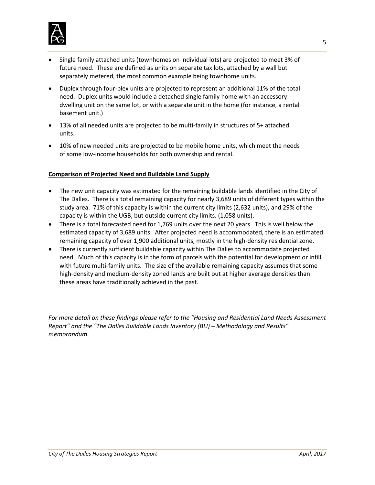

- Single family attached units (townhomes on individual lots) are projected to meet 3% of future need. These are defined as units on separate tax lots, attached by a wall but separately metered, the most common example being townhome units.
- Duplex through four-plex units are projected to represent an additional 11% of the total need. Duplex units would include a detached single family home with an accessory dwelling unit on the same lot, or with a separate unit in the home (for instance, a rental basement unit.)
- 13% of all needed units are projected to be multi-family in structures of 5+ attached units.
- 10% of new needed units are projected to be mobile home units, which meet the needs of some low-income households for both ownership and rental.

#### **Comparison of Projected Need and Buildable Land Supply**

- The new unit capacity was estimated for the remaining buildable lands identified in the City of The Dalles. There is a total remaining capacity for nearly 3,689 units of different types within the study area. 71% of this capacity is within the current city limits (2,632 units), and 29% of the capacity is within the UGB, but outside current city limits. (1,058 units).
- There is a total forecasted need for 1,769 units over the next 20 years. This is well below the estimated capacity of 3,689 units. After projected need is accommodated, there is an estimated remaining capacity of over 1,900 additional units, mostly in the high-density residential zone.
- There is currently sufficient buildable capacity within The Dalles to accommodate projected need. Much of this capacity is in the form of parcels with the potential for development or infill with future multi-family units. The size of the available remaining capacity assumes that some high-density and medium-density zoned lands are built out at higher average densities than these areas have traditionally achieved in the past.

*For more detail on these findings please refer to the "Housing and Residential Land Needs Assessment Report" and the "The Dalles Buildable Lands Inventory (BLI) – Methodology and Results" memorandum.*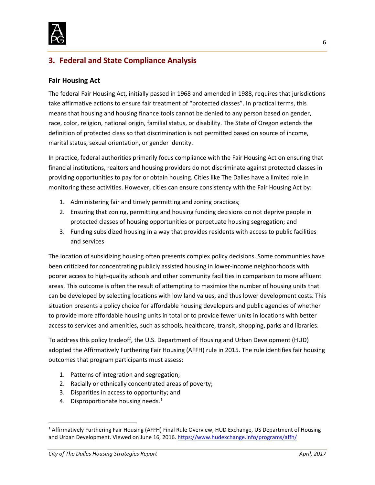

# <span id="page-6-0"></span>**3. Federal and State Compliance Analysis**

# <span id="page-6-1"></span>**Fair Housing Act**

The federal Fair Housing Act, initially passed in 1968 and amended in 1988, requires that jurisdictions take affirmative actions to ensure fair treatment of "protected classes". In practical terms, this means that housing and housing finance tools cannot be denied to any person based on gender, race, color, religion, national origin, familial status, or disability. The State of Oregon extends the definition of protected class so that discrimination is not permitted based on source of income, marital status, sexual orientation, or gender identity.

In practice, federal authorities primarily focus compliance with the Fair Housing Act on ensuring that financial institutions, realtors and housing providers do not discriminate against protected classes in providing opportunities to pay for or obtain housing. Cities like The Dalles have a limited role in monitoring these activities. However, cities can ensure consistency with the Fair Housing Act by:

- 1. Administering fair and timely permitting and zoning practices;
- 2. Ensuring that zoning, permitting and housing funding decisions do not deprive people in protected classes of housing opportunities or perpetuate housing segregation; and
- 3. Funding subsidized housing in a way that provides residents with access to public facilities and services

The location of subsidizing housing often presents complex policy decisions. Some communities have been criticized for concentrating publicly assisted housing in lower-income neighborhoods with poorer access to high-quality schools and other community facilities in comparison to more affluent areas. This outcome is often the result of attempting to maximize the number of housing units that can be developed by selecting locations with low land values, and thus lower development costs. This situation presents a policy choice for affordable housing developers and public agencies of whether to provide more affordable housing units in total or to provide fewer units in locations with better access to services and amenities, such as schools, healthcare, transit, shopping, parks and libraries.

To address this policy tradeoff, the U.S. Department of Housing and Urban Development (HUD) adopted the Affirmatively Furthering Fair Housing (AFFH) rule in 2015. The rule identifies fair housing outcomes that program participants must assess:

- 1. Patterns of integration and segregation;
- 2. Racially or ethnically concentrated areas of poverty;
- 3. Disparities in access to opportunity; and
- 4. Disproportionate housing needs.<sup>[1](#page-6-2)</sup>

<span id="page-6-2"></span> <sup>1</sup> Affirmatively Furthering Fair Housing (AFFH) Final Rule Overview, HUD Exchange, US Department of Housing and Urban Development. Viewed on June 16, 2016.<https://www.hudexchange.info/programs/affh/>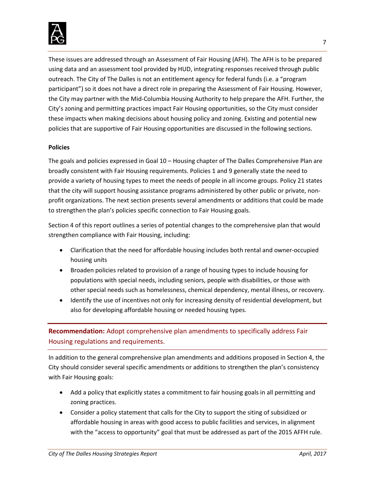

These issues are addressed through an Assessment of Fair Housing (AFH). The AFH is to be prepared using data and an assessment tool provided by HUD, integrating responses received through public outreach. The City of The Dalles is not an entitlement agency for federal funds (i.e. a "program participant") so it does not have a direct role in preparing the Assessment of Fair Housing. However, the City may partner with the Mid-Columbia Housing Authority to help prepare the AFH. Further, the City's zoning and permitting practices impact Fair Housing opportunities, so the City must consider these impacts when making decisions about housing policy and zoning. Existing and potential new policies that are supportive of Fair Housing opportunities are discussed in the following sections.

#### **Policies**

The goals and policies expressed in Goal 10 – Housing chapter of The Dalles Comprehensive Plan are broadly consistent with Fair Housing requirements. Policies 1 and 9 generally state the need to provide a variety of housing types to meet the needs of people in all income groups. Policy 21 states that the city will support housing assistance programs administered by other public or private, nonprofit organizations. The next section presents several amendments or additions that could be made to strengthen the plan's policies specific connection to Fair Housing goals.

Section 4 of this report outlines a series of potential changes to the comprehensive plan that would strengthen compliance with Fair Housing, including:

- Clarification that the need for affordable housing includes both rental and owner-occupied housing units
- Broaden policies related to provision of a range of housing types to include housing for populations with special needs, including seniors, people with disabilities, or those with other special needs such as homelessness, chemical dependency, mental illness, or recovery.
- Identify the use of incentives not only for increasing density of residential development, but also for developing affordable housing or needed housing types.

# **Recommendation:** Adopt comprehensive plan amendments to specifically address Fair Housing regulations and requirements.

In addition to the general comprehensive plan amendments and additions proposed in Section 4, the City should consider several specific amendments or additions to strengthen the plan's consistency with Fair Housing goals:

- Add a policy that explicitly states a commitment to fair housing goals in all permitting and zoning practices.
- Consider a policy statement that calls for the City to support the siting of subsidized or affordable housing in areas with good access to public facilities and services, in alignment with the "access to opportunity" goal that must be addressed as part of the 2015 AFFH rule.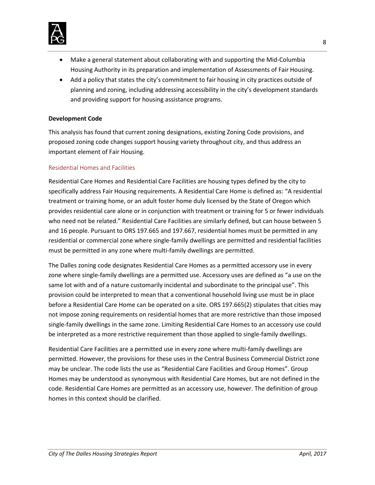

- Make a general statement about collaborating with and supporting the Mid-Columbia Housing Authority in its preparation and implementation of Assessments of Fair Housing.
- Add a policy that states the city's commitment to fair housing in city practices outside of planning and zoning, including addressing accessibility in the city's development standards and providing support for housing assistance programs.

#### **Development Code**

This analysis has found that current zoning designations, existing Zoning Code provisions, and proposed zoning code changes support housing variety throughout city, and thus address an important element of Fair Housing.

#### Residential Homes and Facilities

Residential Care Homes and Residential Care Facilities are housing types defined by the city to specifically address Fair Housing requirements. A Residential Care Home is defined as: "A residential treatment or training home, or an adult foster home duly licensed by the State of Oregon which provides residential care alone or in conjunction with treatment or training for 5 or fewer individuals who need not be related." Residential Care Facilities are similarly defined, but can house between 5 and 16 people. Pursuant to ORS 197.665 and 197.667, residential homes must be permitted in any residential or commercial zone where single-family dwellings are permitted and residential facilities must be permitted in any zone where multi-family dwellings are permitted.

The Dalles zoning code designates Residential Care Homes as a permitted accessory use in every zone where single-family dwellings are a permitted use. Accessory uses are defined as "a use on the same lot with and of a nature customarily incidental and subordinate to the principal use". This provision could be interpreted to mean that a conventional household living use must be in place before a Residential Care Home can be operated on a site. ORS 197.665(2) stipulates that cities may not impose zoning requirements on residential homes that are more restrictive than those imposed single-family dwellings in the same zone. Limiting Residential Care Homes to an accessory use could be interpreted as a more restrictive requirement than those applied to single-family dwellings.

Residential Care Facilities are a permitted use in every zone where multi-family dwellings are permitted. However, the provisions for these uses in the Central Business Commercial District zone may be unclear. The code lists the use as "Residential Care Facilities and Group Homes". Group Homes may be understood as synonymous with Residential Care Homes, but are not defined in the code. Residential Care Homes are permitted as an accessory use, however. The definition of group homes in this context should be clarified.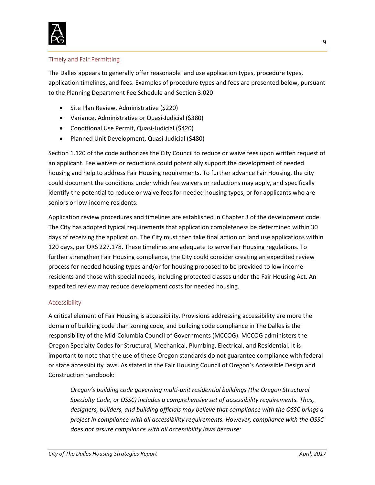

#### Timely and Fair Permitting

The Dalles appears to generally offer reasonable land use application types, procedure types, application timelines, and fees. Examples of procedure types and fees are presented below, pursuant to the Planning Department Fee Schedule and Section 3.020

- Site Plan Review, Administrative (\$220)
- Variance, Administrative or Quasi-Judicial (\$380)
- Conditional Use Permit, Quasi-Judicial (\$420)
- Planned Unit Development, Quasi-Judicial (\$480)

Section 1.120 of the code authorizes the City Council to reduce or waive fees upon written request of an applicant. Fee waivers or reductions could potentially support the development of needed housing and help to address Fair Housing requirements. To further advance Fair Housing, the city could document the conditions under which fee waivers or reductions may apply, and specifically identify the potential to reduce or waive fees for needed housing types, or for applicants who are seniors or low-income residents.

Application review procedures and timelines are established in Chapter 3 of the development code. The City has adopted typical requirements that application completeness be determined within 30 days of receiving the application. The City must then take final action on land use applications within 120 days, per ORS 227.178. These timelines are adequate to serve Fair Housing regulations. To further strengthen Fair Housing compliance, the City could consider creating an expedited review process for needed housing types and/or for housing proposed to be provided to low income residents and those with special needs, including protected classes under the Fair Housing Act. An expedited review may reduce development costs for needed housing.

#### Accessibility

A critical element of Fair Housing is accessibility. Provisions addressing accessibility are more the domain of building code than zoning code, and building code compliance in The Dalles is the responsibility of the Mid-Columbia Council of Governments (MCCOG). MCCOG administers the Oregon Specialty Codes for Structural, Mechanical, Plumbing, Electrical, and Residential. It is important to note that the use of these Oregon standards do not guarantee compliance with federal or state accessibility laws. As stated in the Fair Housing Council of Oregon's Accessible Design and Construction handbook:

*Oregon's building code governing multi-unit residential buildings (the Oregon Structural Specialty Code, or OSSC) includes a comprehensive set of accessibility requirements. Thus, designers, builders, and building officials may believe that compliance with the OSSC brings a project in compliance with all accessibility requirements. However, compliance with the OSSC does not assure compliance with all accessibility laws because:*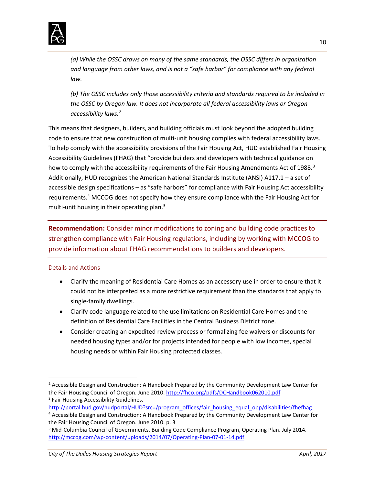

*(a) While the OSSC draws on many of the same standards, the OSSC differs in organization and language from other laws, and is not a "safe harbor" for compliance with any federal law.*

*(b) The OSSC includes only those accessibility criteria and standards required to be included in the OSSC by Oregon law. It does not incorporate all federal accessibility laws or Oregon accessibility laws.[2](#page-10-0)* 

This means that designers, builders, and building officials must look beyond the adopted building code to ensure that new construction of multi-unit housing complies with federal accessibility laws. To help comply with the accessibility provisions of the Fair Housing Act, HUD established Fair Housing Accessibility Guidelines (FHAG) that "provide builders and developers with technical guidance on how to comply with the accessibility requirements of the Fair Housing Amendments Act of 1988.<sup>[3](#page-10-1)</sup> Additionally, HUD recognizes the American National Standards Institute (ANSI) A117.1 – a set of accessible design specifications – as "safe harbors" for compliance with Fair Housing Act accessibility requirements.[4](#page-10-2) MCCOG does not specify how they ensure compliance with the Fair Housing Act for multi-unit housing in their operating plan.<sup>[5](#page-10-3)</sup>

**Recommendation:** Consider minor modifications to zoning and building code practices to strengthen compliance with Fair Housing regulations, including by working with MCCOG to provide information about FHAG recommendations to builders and developers.

## Details and Actions

- Clarify the meaning of Residential Care Homes as an accessory use in order to ensure that it could not be interpreted as a more restrictive requirement than the standards that apply to single-family dwellings.
- Clarify code language related to the use limitations on Residential Care Homes and the definition of Residential Care Facilities in the Central Business District zone.
- Consider creating an expedited review process or formalizing fee waivers or discounts for needed housing types and/or for projects intended for people with low incomes, special housing needs or within Fair Housing protected classes.

<span id="page-10-0"></span> <sup>2</sup> Accessible Design and Construction: A Handbook Prepared by the Community Development Law Center for the Fair Housing Council of Oregon. June 2010[. http://fhco.org/pdfs/DCHandbook062010.pdf](http://fhco.org/pdfs/DCHandbook062010.pdf) <sup>3</sup> Fair Housing Accessibility Guidelines.

<span id="page-10-1"></span>[http://portal.hud.gov/hudportal/HUD?src=/program\\_offices/fair\\_housing\\_equal\\_opp/disabilities/fhefhag](http://portal.hud.gov/hudportal/HUD?src=/program_offices/fair_housing_equal_opp/disabilities/fhefhag)

<span id="page-10-2"></span><sup>4</sup> Accessible Design and Construction: A Handbook Prepared by the Community Development Law Center for the Fair Housing Council of Oregon. June 2010. p. 3

<span id="page-10-3"></span><sup>5</sup> Mid-Columbia Council of Governments, Building Code Compliance Program, Operating Plan. July 2014. <http://mccog.com/wp-content/uploads/2014/07/Operating-Plan-07-01-14.pdf>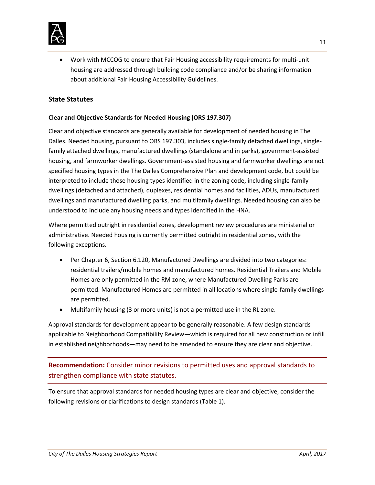

• Work with MCCOG to ensure that Fair Housing accessibility requirements for multi-unit housing are addressed through building code compliance and/or be sharing information about additional Fair Housing Accessibility Guidelines.

## <span id="page-11-0"></span>**State Statutes**

#### **Clear and Objective Standards for Needed Housing (ORS 197.307)**

Clear and objective standards are generally available for development of needed housing in The Dalles. Needed housing, pursuant to ORS 197.303, includes single-family detached dwellings, singlefamily attached dwellings, manufactured dwellings (standalone and in parks), government-assisted housing, and farmworker dwellings. Government-assisted housing and farmworker dwellings are not specified housing types in the The Dalles Comprehensive Plan and development code, but could be interpreted to include those housing types identified in the zoning code, including single-family dwellings (detached and attached), duplexes, residential homes and facilities, ADUs, manufactured dwellings and manufactured dwelling parks, and multifamily dwellings. Needed housing can also be understood to include any housing needs and types identified in the HNA.

Where permitted outright in residential zones, development review procedures are ministerial or administrative. Needed housing is currently permitted outright in residential zones, with the following exceptions.

- Per Chapter 6, Section 6.120, Manufactured Dwellings are divided into two categories: residential trailers/mobile homes and manufactured homes. Residential Trailers and Mobile Homes are only permitted in the RM zone, where Manufactured Dwelling Parks are permitted. Manufactured Homes are permitted in all locations where single-family dwellings are permitted.
- Multifamily housing (3 or more units) is not a permitted use in the RL zone.

Approval standards for development appear to be generally reasonable. A few design standards applicable to Neighborhood Compatibility Review—which is required for all new construction or infill in established neighborhoods—may need to be amended to ensure they are clear and objective.

**Recommendation:** Consider minor revisions to permitted uses and approval standards to strengthen compliance with state statutes.

To ensure that approval standards for needed housing types are clear and objective, consider the following revisions or clarifications to design standards (Table 1).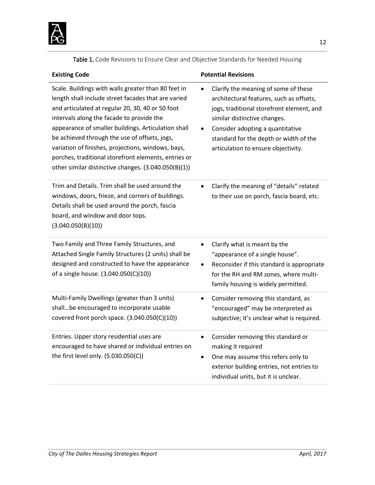

Table 1. Code Revisions to Ensure Clear and Objective Standards for Needed Housing

| <b>Existing Code</b>                                                                                                                                                                                                                                                                                                                                                                                                                                                                      | <b>Potential Revisions</b>                                                                                                                                                                                                                                                         |
|-------------------------------------------------------------------------------------------------------------------------------------------------------------------------------------------------------------------------------------------------------------------------------------------------------------------------------------------------------------------------------------------------------------------------------------------------------------------------------------------|------------------------------------------------------------------------------------------------------------------------------------------------------------------------------------------------------------------------------------------------------------------------------------|
| Scale. Buildings with walls greater than 80 feet in<br>length shall include street facades that are varied<br>and articulated at regular 20, 30, 40 or 50 foot<br>intervals along the facade to provide the<br>appearance of smaller buildings. Articulation shall<br>be achieved through the use of offsets, jogs,<br>variation of finishes, projections, windows, bays,<br>porches, traditional storefront elements, entries or<br>other similar distinctive changes. (3.040.050(B)(1)) | Clarify the meaning of some of these<br>architectural features, such as offsets,<br>jogs, traditional storefront element, and<br>similar distinctive changes.<br>Consider adopting a quantitative<br>standard for the depth or width of the<br>articulation to ensure objectivity. |
| Trim and Details. Trim shall be used around the<br>windows, doors, frieze, and corners of buildings.<br>Details shall be used around the porch, fascia<br>board, and window and door tops.<br>(3.040.050(B)(10))                                                                                                                                                                                                                                                                          | Clarify the meaning of "details" related<br>to their use on porch, fascia board, etc.                                                                                                                                                                                              |
| Two Family and Three Family Structures, and<br>Attached Single Family Structures (2 units) shall be<br>designed and constructed to have the appearance<br>of a single house. (3.040.050(C)(10))                                                                                                                                                                                                                                                                                           | Clarify what is meant by the<br>$\bullet$<br>"appearance of a single house".<br>Reconsider if this standard is appropriate<br>$\bullet$<br>for the RH and RM zones, where multi-<br>family housing is widely permitted.                                                            |
| Multi-Family Dwellings (greater than 3 units)<br>shallbe encouraged to incorporate usable<br>covered front porch space. (3.040.050(C)(10))                                                                                                                                                                                                                                                                                                                                                | Consider removing this standard, as<br>$\bullet$<br>"encouraged" may be interpreted as<br>subjective; it's unclear what is required.                                                                                                                                               |
| Entries. Upper story residential uses are<br>encouraged to have shared or individual entries on<br>the first level only. (5.030.050(C))                                                                                                                                                                                                                                                                                                                                                   | Consider removing this standard or<br>$\bullet$<br>making it required<br>One may assume this refers only to<br>$\bullet$<br>exterior building entries, not entries to<br>individual units, but it is unclear.                                                                      |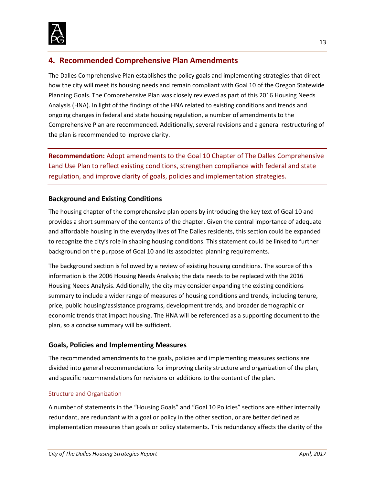

# <span id="page-13-0"></span>**4. Recommended Comprehensive Plan Amendments**

The Dalles Comprehensive Plan establishes the policy goals and implementing strategies that direct how the city will meet its housing needs and remain compliant with Goal 10 of the Oregon Statewide Planning Goals. The Comprehensive Plan was closely reviewed as part of this 2016 Housing Needs Analysis (HNA). In light of the findings of the HNA related to existing conditions and trends and ongoing changes in federal and state housing regulation, a number of amendments to the Comprehensive Plan are recommended. Additionally, several revisions and a general restructuring of the plan is recommended to improve clarity.

**Recommendation:** Adopt amendments to the Goal 10 Chapter of The Dalles Comprehensive Land Use Plan to reflect existing conditions, strengthen compliance with federal and state regulation, and improve clarity of goals, policies and implementation strategies.

# <span id="page-13-1"></span>**Background and Existing Conditions**

The housing chapter of the comprehensive plan opens by introducing the key text of Goal 10 and provides a short summary of the contents of the chapter. Given the central importance of adequate and affordable housing in the everyday lives of The Dalles residents, this section could be expanded to recognize the city's role in shaping housing conditions. This statement could be linked to further background on the purpose of Goal 10 and its associated planning requirements.

The background section is followed by a review of existing housing conditions. The source of this information is the 2006 Housing Needs Analysis; the data needs to be replaced with the 2016 Housing Needs Analysis. Additionally, the city may consider expanding the existing conditions summary to include a wider range of measures of housing conditions and trends, including tenure, price, public housing/assistance programs, development trends, and broader demographic or economic trends that impact housing. The HNA will be referenced as a supporting document to the plan, so a concise summary will be sufficient.

## <span id="page-13-2"></span>**Goals, Policies and Implementing Measures**

The recommended amendments to the goals, policies and implementing measures sections are divided into general recommendations for improving clarity structure and organization of the plan, and specific recommendations for revisions or additions to the content of the plan.

## Structure and Organization

A number of statements in the "Housing Goals" and "Goal 10 Policies" sections are either internally redundant, are redundant with a goal or policy in the other section, or are better defined as implementation measures than goals or policy statements. This redundancy affects the clarity of the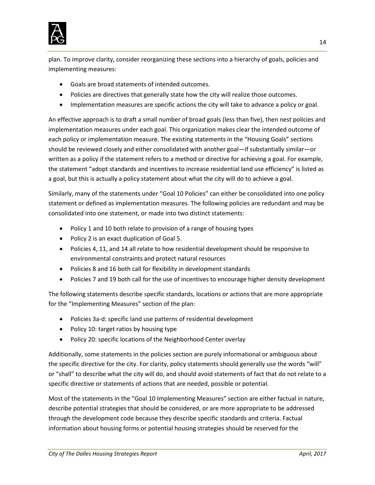

plan. To improve clarity, consider reorganizing these sections into a hierarchy of goals, policies and implementing measures:

- Goals are broad statements of intended outcomes.
- Policies are directives that generally state how the city will realize those outcomes.
- Implementation measures are specific actions the city will take to advance a policy or goal.

An effective approach is to draft a small number of broad goals (less than five), then nest policies and implementation measures under each goal. This organization makes clear the intended outcome of each policy or implementation measure. The existing statements in the "Housing Goals" sections should be reviewed closely and either consolidated with another goal—if substantially similar—or written as a policy if the statement refers to a method or directive for achieving a goal. For example, the statement "adopt standards and incentives to increase residential land use efficiency" is listed as a goal, but this is actually a policy statement about what the city will do to achieve a goal.

Similarly, many of the statements under "Goal 10 Policies" can either be consolidated into one policy statement or defined as implementation measures. The following policies are redundant and may be consolidated into one statement, or made into two distinct statements:

- Policy 1 and 10 both relate to provision of a range of housing types
- Policy 2 is an exact duplication of Goal 5.
- Policies 4, 11, and 14 all relate to how residential development should be responsive to environmental constraints and protect natural resources
- Policies 8 and 16 both call for flexibility in development standards
- Policies 7 and 19 both call for the use of incentives to encourage higher density development

The following statements describe specific standards, locations or actions that are more appropriate for the "Implementing Measures" section of the plan:

- Policies 3a-d: specific land use patterns of residential development
- Policy 10: target ratios by housing type
- Policy 20: specific locations of the Neighborhood Center overlay

Additionally, some statements in the policies section are purely informational or ambiguous about the specific directive for the city. For clarity, policy statements should generally use the words "will" or "shall" to describe what the city will do, and should avoid statements of fact that do not relate to a specific directive or statements of actions that are needed, possible or potential.

Most of the statements in the "Goal 10 Implementing Measures" section are either factual in nature, describe potential strategies that should be considered, or are more appropriate to be addressed through the development code because they describe specific standards and criteria. Factual information about housing forms or potential housing strategies should be reserved for the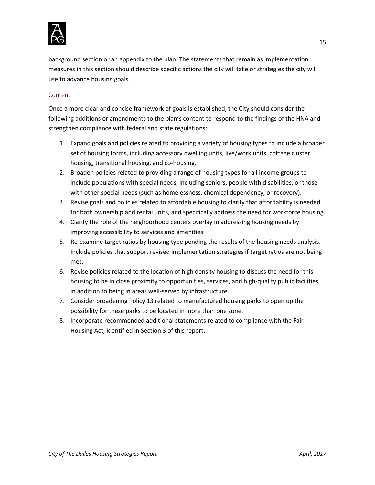

background section or an appendix to the plan. The statements that remain as implementation measures in this section should describe specific actions the city will take or strategies the city will use to advance housing goals.

#### Content

Once a more clear and concise framework of goals is established, the City should consider the following additions or amendments to the plan's content to respond to the findings of the HNA and strengthen compliance with federal and state regulations:

- 1. Expand goals and policies related to providing a variety of housing types to include a broader set of housing forms, including accessory dwelling units, live/work units, cottage cluster housing, transitional housing, and co-housing.
- 2. Broaden policies related to providing a range of housing types for all income groups to include populations with special needs, including seniors, people with disabilities, or those with other special needs (such as homelessness, chemical dependency, or recovery).
- 3. Revise goals and policies related to affordable housing to clarify that affordability is needed for both ownership and rental units, and specifically address the need for workforce housing.
- 4. Clarify the role of the neighborhood centers overlay in addressing housing needs by improving accessibility to services and amenities.
- 5. Re-examine target ratios by housing type pending the results of the housing needs analysis. Include policies that support revised implementation strategies if target ratios are not being met.
- 6. Revise policies related to the location of high density housing to discuss the need for this housing to be in close proximity to opportunities, services, and high-quality public facilities, in addition to being in areas well-served by infrastructure.
- 7. Consider broadening Policy 13 related to manufactured housing parks to open up the possibility for these parks to be located in more than one zone.
- 8. Incorporate recommended additional statements related to compliance with the Fair Housing Act, identified in Section 3 of this report.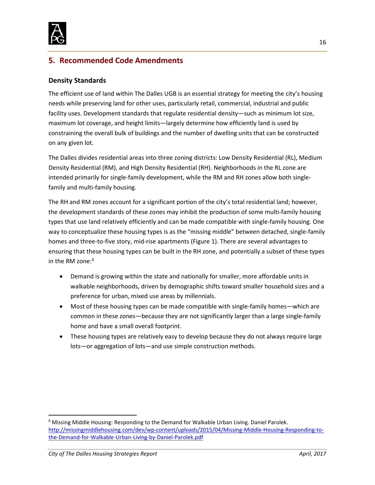

# <span id="page-16-0"></span>**5. Recommended Code Amendments**

## <span id="page-16-1"></span>**Density Standards**

The efficient use of land within The Dalles UGB is an essential strategy for meeting the city's housing needs while preserving land for other uses, particularly retail, commercial, industrial and public facility uses. Development standards that regulate residential density—such as minimum lot size, maximum lot coverage, and height limits—largely determine how efficiently land is used by constraining the overall bulk of buildings and the number of dwelling units that can be constructed on any given lot.

The Dalles divides residential areas into three zoning districts: Low Density Residential (RL), Medium Density Residential (RM), and High Density Residential (RH). Neighborhoods in the RL zone are intended primarily for single-family development, while the RM and RH zones allow both singlefamily and multi-family housing.

The RH and RM zones account for a significant portion of the city's total residential land; however, the development standards of these zones may inhibit the production of some multi-family housing types that use land relatively efficiently and can be made compatible with single-family housing. One way to conceptualize these housing types is as the "missing middle" between detached, single-family homes and three-to-five story, mid-rise apartments (Figure 1). There are several advantages to ensuring that these housing types can be built in the RH zone, and potentially a subset of these types in the RM zone:<sup>[6](#page-16-2)</sup>

- Demand is growing within the state and nationally for smaller, more affordable units in walkable neighborhoods, driven by demographic shifts toward smaller household sizes and a preference for urban, mixed use areas by millennials.
- Most of these housing types can be made compatible with single-family homes—which are common in these zones—because they are not significantly larger than a large single-family home and have a small overall footprint.
- These housing types are relatively easy to develop because they do not always require large lots—or aggregation of lots—and use simple construction methods.

<span id="page-16-2"></span><sup>&</sup>lt;sup>6</sup> Missing Middle Housing: Responding to the Demand for Walkable Urban Living. Daniel Parolek. [http://missingmiddlehousing.com/dev/wp-content/uploads/2015/04/Missing-Middle-Housing-Responding-to](http://missingmiddlehousing.com/dev/wp-content/uploads/2015/04/Missing-Middle-Housing-Responding-to-the-Demand-for-Walkable-Urban-Living-by-Daniel-Parolek.pdf)[the-Demand-for-Walkable-Urban-Living-by-Daniel-Parolek.pdf](http://missingmiddlehousing.com/dev/wp-content/uploads/2015/04/Missing-Middle-Housing-Responding-to-the-Demand-for-Walkable-Urban-Living-by-Daniel-Parolek.pdf)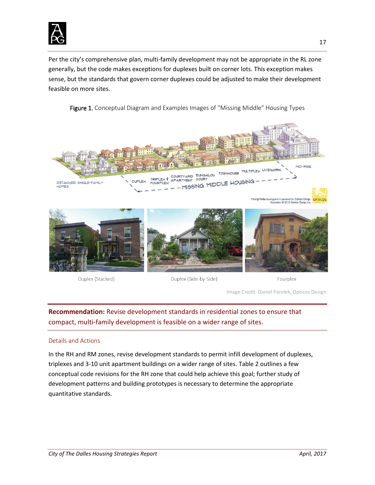

Per the city's comprehensive plan, multi-family development may not be appropriate in the RL zone generally, but the code makes exceptions for duplexes built on corner lots. This exception makes sense, but the standards that govern corner duplexes could be adjusted to make their development feasible on more sites.

Figure 1. Conceptual Diagram and Examples Images of "Missing Middle" Housing Types



Duplex (Stacked)

Duplex (Side-by-Side)

Fourplex

Image Credit: Daniel Parolek, Opticos Design

**Recommendation:** Revise development standards in residential zones to ensure that compact, multi-family development is feasible on a wider range of sites.

#### Details and Actions

In the RH and RM zones, revise development standards to permit infill development of duplexes, triplexes and 3-10 unit apartment buildings on a wider range of sites. Table 2 outlines a few conceptual code revisions for the RH zone that could help achieve this goal; further study of development patterns and building prototypes is necessary to determine the appropriate quantitative standards.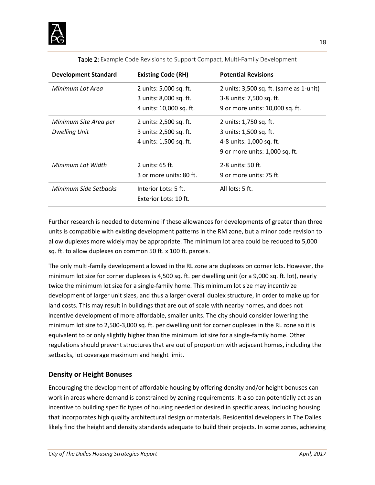

| <b>Development Standard</b> | <b>Existing Code (RH)</b>    | <b>Potential Revisions</b>              |
|-----------------------------|------------------------------|-----------------------------------------|
| Minimum Lot Area            | 2 units: 5,000 sq. ft.       | 2 units: 3,500 sq. ft. (same as 1-unit) |
|                             | 3 units: 8,000 sq. ft.       | 3-8 units: 7,500 sq. ft.                |
|                             | 4 units: 10,000 sq. ft.      | 9 or more units: 10,000 sq. ft.         |
| Minimum Site Area per       | 2 units: 2,500 sq. ft.       | 2 units: 1,750 sq. ft.                  |
| <b>Dwelling Unit</b>        | 3 units: 2,500 sq. ft.       | 3 units: 1,500 sq. ft.                  |
|                             | 4 units: 1,500 sq. ft.       | 4-8 units: 1,000 sq. ft.                |
|                             |                              | 9 or more units: 1,000 sq. ft.          |
| Minimum Lot Width           | 2 units: $65$ ft.            | 2-8 units: 50 ft.                       |
|                             | 3 or more units: 80 ft.      | 9 or more units: 75 ft.                 |
| Minimum Side Sethacks       | Interior Lots: 5 ft.         | All $lots: 5 ft.$                       |
|                             | <b>Exterior Lots: 10 ft.</b> |                                         |

Table 2: Example Code Revisions to Support Compact, Multi-Family Development

Further research is needed to determine if these allowances for developments of greater than three units is compatible with existing development patterns in the RM zone, but a minor code revision to allow duplexes more widely may be appropriate. The minimum lot area could be reduced to 5,000 sq. ft. to allow duplexes on common 50 ft. x 100 ft. parcels.

The only multi-family development allowed in the RL zone are duplexes on corner lots. However, the minimum lot size for corner duplexes is 4,500 sq. ft. per dwelling unit (or a 9,000 sq. ft. lot), nearly twice the minimum lot size for a single-family home. This minimum lot size may incentivize development of larger unit sizes, and thus a larger overall duplex structure, in order to make up for land costs. This may result in buildings that are out of scale with nearby homes, and does not incentive development of more affordable, smaller units. The city should consider lowering the minimum lot size to 2,500-3,000 sq. ft. per dwelling unit for corner duplexes in the RL zone so it is equivalent to or only slightly higher than the minimum lot size for a single-family home. Other regulations should prevent structures that are out of proportion with adjacent homes, including the setbacks, lot coverage maximum and height limit.

## <span id="page-18-0"></span>**Density or Height Bonuses**

Encouraging the development of affordable housing by offering density and/or height bonuses can work in areas where demand is constrained by zoning requirements. It also can potentially act as an incentive to building specific types of housing needed or desired in specific areas, including housing that incorporates high quality architectural design or materials. Residential developers in The Dalles likely find the height and density standards adequate to build their projects. In some zones, achieving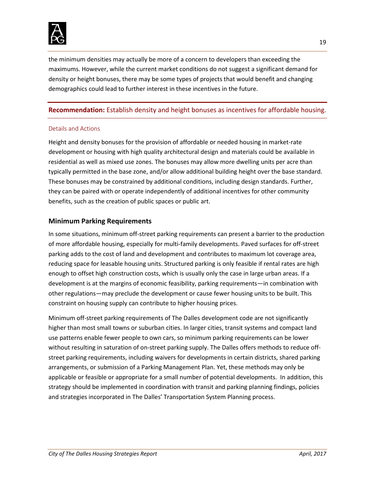

the minimum densities may actually be more of a concern to developers than exceeding the maximums. However, while the current market conditions do not suggest a significant demand for density or height bonuses, there may be some types of projects that would benefit and changing demographics could lead to further interest in these incentives in the future.

#### **Recommendation:** Establish density and height bonuses as incentives for affordable housing.

#### Details and Actions

Height and density bonuses for the provision of affordable or needed housing in market-rate development or housing with high quality architectural design and materials could be available in residential as well as mixed use zones. The bonuses may allow more dwelling units per acre than typically permitted in the base zone, and/or allow additional building height over the base standard. These bonuses may be constrained by additional conditions, including design standards. Further, they can be paired with or operate independently of additional incentives for other community benefits, such as the creation of public spaces or public art.

#### <span id="page-19-0"></span>**Minimum Parking Requirements**

In some situations, minimum off-street parking requirements can present a barrier to the production of more affordable housing, especially for multi-family developments. Paved surfaces for off-street parking adds to the cost of land and development and contributes to maximum lot coverage area, reducing space for leasable housing units. Structured parking is only feasible if rental rates are high enough to offset high construction costs, which is usually only the case in large urban areas. If a development is at the margins of economic feasibility, parking requirements—in combination with other regulations—may preclude the development or cause fewer housing units to be built. This constraint on housing supply can contribute to higher housing prices.

Minimum off-street parking requirements of The Dalles development code are not significantly higher than most small towns or suburban cities. In larger cities, transit systems and compact land use patterns enable fewer people to own cars, so minimum parking requirements can be lower without resulting in saturation of on-street parking supply. The Dalles offers methods to reduce offstreet parking requirements, including waivers for developments in certain districts, shared parking arrangements, or submission of a Parking Management Plan. Yet, these methods may only be applicable or feasible or appropriate for a small number of potential developments. In addition, this strategy should be implemented in coordination with transit and parking planning findings, policies and strategies incorporated in The Dalles' Transportation System Planning process.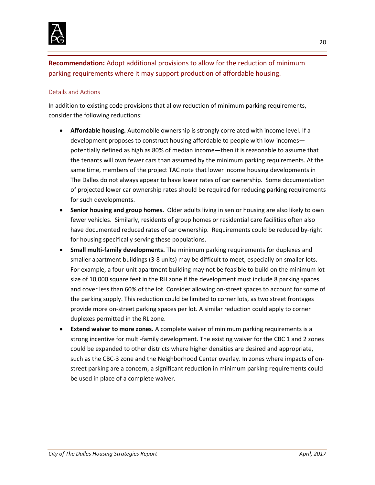

**Recommendation:** Adopt additional provisions to allow for the reduction of minimum parking requirements where it may support production of affordable housing.

#### Details and Actions

In addition to existing code provisions that allow reduction of minimum parking requirements, consider the following reductions:

- **Affordable housing.** Automobile ownership is strongly correlated with income level. If a development proposes to construct housing affordable to people with low-incomes potentially defined as high as 80% of median income—then it is reasonable to assume that the tenants will own fewer cars than assumed by the minimum parking requirements. At the same time, members of the project TAC note that lower income housing developments in The Dalles do not always appear to have lower rates of car ownership. Some documentation of projected lower car ownership rates should be required for reducing parking requirements for such developments.
- **Senior housing and group homes.** Older adults living in senior housing are also likely to own fewer vehicles. Similarly, residents of group homes or residential care facilities often also have documented reduced rates of car ownership. Requirements could be reduced by-right for housing specifically serving these populations.
- **Small multi-family developments.** The minimum parking requirements for duplexes and smaller apartment buildings (3-8 units) may be difficult to meet, especially on smaller lots. For example, a four-unit apartment building may not be feasible to build on the minimum lot size of 10,000 square feet in the RH zone if the development must include 8 parking spaces and cover less than 60% of the lot. Consider allowing on-street spaces to account for some of the parking supply. This reduction could be limited to corner lots, as two street frontages provide more on-street parking spaces per lot. A similar reduction could apply to corner duplexes permitted in the RL zone.
- **Extend waiver to more zones.** A complete waiver of minimum parking requirements is a strong incentive for multi-family development. The existing waiver for the CBC 1 and 2 zones could be expanded to other districts where higher densities are desired and appropriate, such as the CBC-3 zone and the Neighborhood Center overlay. In zones where impacts of onstreet parking are a concern, a significant reduction in minimum parking requirements could be used in place of a complete waiver.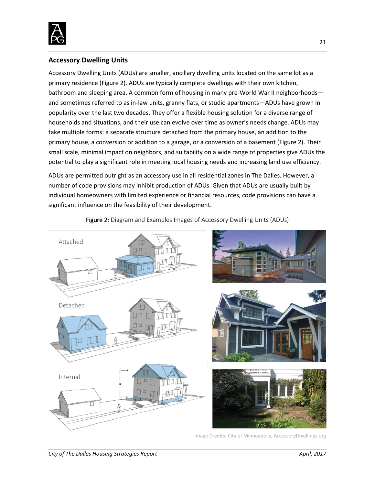

# <span id="page-21-0"></span>**Accessory Dwelling Units**

Accessory Dwelling Units (ADUs) are smaller, ancillary dwelling units located on the same lot as a primary residence (Figure 2). ADUs are typically complete dwellings with their own kitchen, bathroom and sleeping area. A common form of housing in many pre-World War II neighborhoods and sometimes referred to as in-law units, granny flats, or studio apartments—ADUs have grown in popularity over the last two decades. They offer a flexible housing solution for a diverse range of households and situations, and their use can evolve over time as owner's needs change. ADUs may take multiple forms: a separate structure detached from the primary house, an addition to the primary house, a conversion or addition to a garage, or a conversion of a basement (Figure 2). Their small scale, minimal impact on neighbors, and suitability on a wide range of properties give ADUs the potential to play a significant role in meeting local housing needs and increasing land use efficiency.

ADUs are permitted outright as an accessory use in all residential zones in The Dalles. However, a number of code provisions may inhibit production of ADUs. Given that ADUs are usually built by individual homeowners with limited experience or financial resources, code provisions can have a significant influence on the feasibility of their development.



Figure 2: Diagram and Examples Images of Accessory Dwelling Units (ADUs)

Image Credits: City of Minneapolis, AccessoryDwellings.org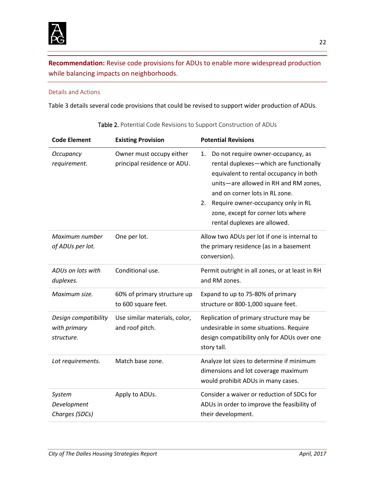

**Recommendation:** Revise code provisions for ADUs to enable more widespread production while balancing impacts on neighborhoods.

## Details and Actions

Table 3 details several code provisions that could be revised to support wider production of ADUs.

| <b>Code Element</b>                                | <b>Existing Provision</b>                               | <b>Potential Revisions</b>                                                                                                                                                                                                                                                                                                |
|----------------------------------------------------|---------------------------------------------------------|---------------------------------------------------------------------------------------------------------------------------------------------------------------------------------------------------------------------------------------------------------------------------------------------------------------------------|
| Occupancy<br>requirement.                          | Owner must occupy either<br>principal residence or ADU. | Do not require owner-occupancy, as<br>1.<br>rental duplexes-which are functionally<br>equivalent to rental occupancy in both<br>units-are allowed in RH and RM zones,<br>and on corner lots in RL zone.<br>Require owner-occupancy only in RL<br>2.<br>zone, except for corner lots where<br>rental duplexes are allowed. |
| Maximum number<br>of ADUs per lot.                 | One per lot.                                            | Allow two ADUs per lot if one is internal to<br>the primary residence (as in a basement<br>conversion).                                                                                                                                                                                                                   |
| ADUs on lots with<br>duplexes.                     | Conditional use.                                        | Permit outright in all zones, or at least in RH<br>and RM zones.                                                                                                                                                                                                                                                          |
| Maximum size.                                      | 60% of primary structure up<br>to 600 square feet.      | Expand to up to 75-80% of primary<br>structure or 800-1,000 square feet.                                                                                                                                                                                                                                                  |
| Design compatibility<br>with primary<br>structure. | Use similar materials, color,<br>and roof pitch.        | Replication of primary structure may be<br>undesirable in some situations. Require<br>design compatibility only for ADUs over one<br>story tall.                                                                                                                                                                          |
| Lot requirements.                                  | Match base zone.                                        | Analyze lot sizes to determine if minimum<br>dimensions and lot coverage maximum<br>would prohibit ADUs in many cases.                                                                                                                                                                                                    |
| System<br>Development<br>Charges (SDCs)            | Apply to ADUs.                                          | Consider a waiver or reduction of SDCs for<br>ADUs in order to improve the feasibility of<br>their development.                                                                                                                                                                                                           |

Table 2. Potential Code Revisions to Support Construction of ADUs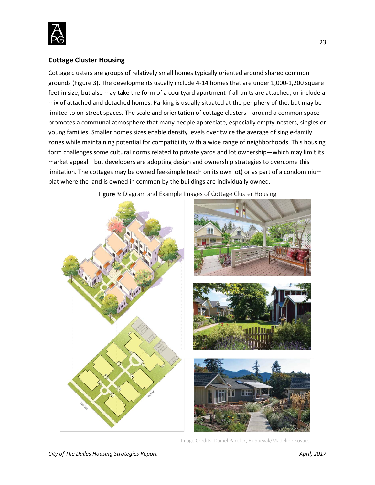

# <span id="page-23-0"></span>**Cottage Cluster Housing**

Cottage clusters are groups of relatively small homes typically oriented around shared common grounds (Figure 3). The developments usually include 4-14 homes that are under 1,000-1,200 square feet in size, but also may take the form of a courtyard apartment if all units are attached, or include a mix of attached and detached homes. Parking is usually situated at the periphery of the, but may be limited to on-street spaces. The scale and orientation of cottage clusters—around a common space promotes a communal atmosphere that many people appreciate, especially empty-nesters, singles or young families. Smaller homes sizes enable density levels over twice the average of single-family zones while maintaining potential for compatibility with a wide range of neighborhoods. This housing form challenges some cultural norms related to private yards and lot ownership—which may limit its market appeal—but developers are adopting design and ownership strategies to overcome this limitation. The cottages may be owned fee-simple (each on its own lot) or as part of a condominium plat where the land is owned in common by the buildings are individually owned.

Figure 3: Diagram and Example Images of Cottage Cluster Housing

Image Credits: Daniel Parolek, Eli Spevak/Madeline Kovacs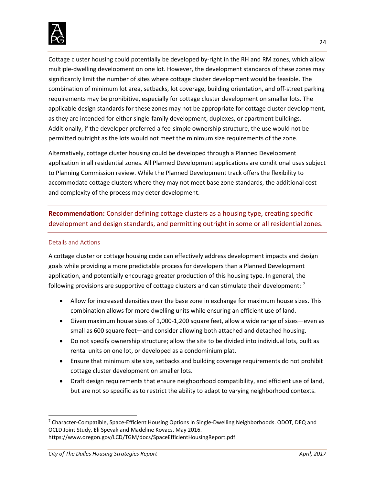

Cottage cluster housing could potentially be developed by-right in the RH and RM zones, which allow multiple-dwelling development on one lot. However, the development standards of these zones may significantly limit the number of sites where cottage cluster development would be feasible. The combination of minimum lot area, setbacks, lot coverage, building orientation, and off-street parking requirements may be prohibitive, especially for cottage cluster development on smaller lots. The applicable design standards for these zones may not be appropriate for cottage cluster development, as they are intended for either single-family development, duplexes, or apartment buildings. Additionally, if the developer preferred a fee-simple ownership structure, the use would not be permitted outright as the lots would not meet the minimum size requirements of the zone.

Alternatively, cottage cluster housing could be developed through a Planned Development application in all residential zones. All Planned Development applications are conditional uses subject to Planning Commission review. While the Planned Development track offers the flexibility to accommodate cottage clusters where they may not meet base zone standards, the additional cost and complexity of the process may deter development.

**Recommendation:** Consider defining cottage clusters as a housing type, creating specific development and design standards, and permitting outright in some or all residential zones.

#### Details and Actions

A cottage cluster or cottage housing code can effectively address development impacts and design goals while providing a more predictable process for developers than a Planned Development application, and potentially encourage greater production of this housing type. In general, the following provisions are supportive of cottage clusters and can stimulate their development:  $<sup>7</sup>$  $<sup>7</sup>$  $<sup>7</sup>$ </sup>

- Allow for increased densities over the base zone in exchange for maximum house sizes. This combination allows for more dwelling units while ensuring an efficient use of land.
- Given maximum house sizes of 1,000-1,200 square feet, allow a wide range of sizes—even as small as 600 square feet—and consider allowing both attached and detached housing.
- Do not specify ownership structure; allow the site to be divided into individual lots, built as rental units on one lot, or developed as a condominium plat.
- Ensure that minimum site size, setbacks and building coverage requirements do not prohibit cottage cluster development on smaller lots.
- Draft design requirements that ensure neighborhood compatibility, and efficient use of land, but are not so specific as to restrict the ability to adapt to varying neighborhood contexts.

<span id="page-24-0"></span> <sup>7</sup> Character-Compatible, Space-Efficient Housing Options in Single-Dwelling Neighborhoods. ODOT, DEQ and OCLD Joint Study. Eli Spevak and Madeline Kovacs. May 2016. https://www.oregon.gov/LCD/TGM/docs/SpaceEfficientHousingReport.pdf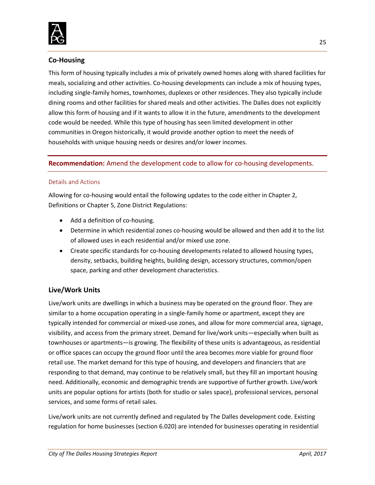

# <span id="page-25-0"></span>**Co-Housing**

This form of housing typically includes a mix of privately owned homes along with shared facilities for meals, socializing and other activities. Co-housing developments can include a mix of housing types, including single-family homes, townhomes, duplexes or other residences. They also typically include dining rooms and other facilities for shared meals and other activities. The Dalles does not explicitly allow this form of housing and if it wants to allow it in the future, amendments to the development code would be needed. While this type of housing has seen limited development in other communities in Oregon historically, it would provide another option to meet the needs of households with unique housing needs or desires and/or lower incomes.

# **Recommendation:** Amend the development code to allow for co-housing developments.

#### Details and Actions

Allowing for co-housing would entail the following updates to the code either in Chapter 2, Definitions or Chapter 5, Zone District Regulations:

- Add a definition of co-housing.
- Determine in which residential zones co-housing would be allowed and then add it to the list of allowed uses in each residential and/or mixed use zone.
- Create specific standards for co-housing developments related to allowed housing types, density, setbacks, building heights, building design, accessory structures, common/open space, parking and other development characteristics.

# <span id="page-25-1"></span>**Live/Work Units**

Live/work units are dwellings in which a business may be operated on the ground floor. They are similar to a home occupation operating in a single-family home or apartment, except they are typically intended for commercial or mixed-use zones, and allow for more commercial area, signage, visibility, and access from the primary street. Demand for live/work units—especially when built as townhouses or apartments—is growing. The flexibility of these units is advantageous, as residential or office spaces can occupy the ground floor until the area becomes more viable for ground floor retail use. The market demand for this type of housing, and developers and financiers that are responding to that demand, may continue to be relatively small, but they fill an important housing need. Additionally, economic and demographic trends are supportive of further growth. Live/work units are popular options for artists (both for studio or sales space), professional services, personal services, and some forms of retail sales.

Live/work units are not currently defined and regulated by The Dalles development code. Existing regulation for home businesses (section 6.020) are intended for businesses operating in residential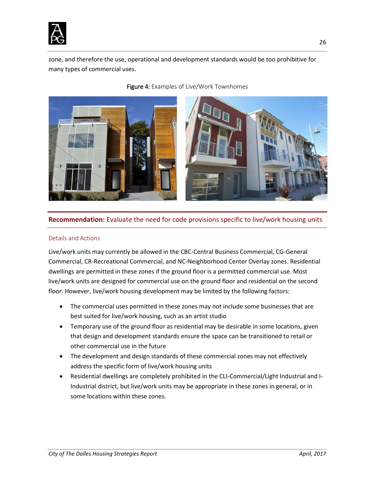

zone, and therefore the use, operational and development standards would be too prohibitive for many types of commercial uses.



#### Figure 4: Examples of Live/Work Townhomes

#### **Recommendation:** Evaluate the need for code provisions specific to live/work housing units

#### Details and Actions

Live/work units may currently be allowed in the CBC-Central Business Commercial, CG-General Commercial, CR-Recreational Commercial, and NC-Neighborhood Center Overlay zones. Residential dwellings are permitted in these zones if the ground floor is a permitted commercial use. Most live/work units are designed for commercial use on the ground floor and residential on the second floor. However, live/work housing development may be limited by the following factors:

- The commercial uses permitted in these zones may not include some businesses that are best suited for live/work housing, such as an artist studio
- Temporary use of the ground floor as residential may be desirable in some locations, given that design and development standards ensure the space can be transitioned to retail or other commercial use in the future
- The development and design standards of these commercial zones may not effectively address the specific form of live/work housing units
- Residential dwellings are completely prohibited in the CLI-Commercial/Light Industrial and I-Industrial district, but live/work units may be appropriate in these zones in general, or in some locations within these zones.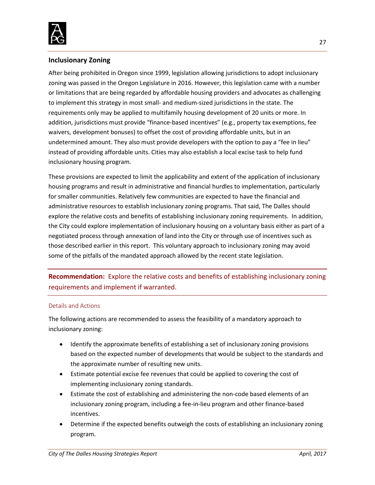

## <span id="page-27-0"></span>**Inclusionary Zoning**

After being prohibited in Oregon since 1999, legislation allowing jurisdictions to adopt inclusionary zoning was passed in the Oregon Legislature in 2016. However, this legislation came with a number or limitations that are being regarded by affordable housing providers and advocates as challenging to implement this strategy in most small- and medium-sized jurisdictions in the state. The requirements only may be applied to multifamily housing development of 20 units or more. In addition, jurisdictions must provide "finance-based incentives" (e.g., property tax exemptions, fee waivers, development bonuses) to offset the cost of providing affordable units, but in an undetermined amount. They also must provide developers with the option to pay a "fee in lieu" instead of providing affordable units. Cities may also establish a local excise task to help fund inclusionary housing program.

These provisions are expected to limit the applicability and extent of the application of inclusionary housing programs and result in administrative and financial hurdles to implementation, particularly for smaller communities. Relatively few communities are expected to have the financial and administrative resources to establish inclusionary zoning programs. That said, The Dalles should explore the relative costs and benefits of establishing inclusionary zoning requirements. In addition, the City could explore implementation of inclusionary housing on a voluntary basis either as part of a negotiated process through annexation of land into the City or through use of incentives such as those described earlier in this report. This voluntary approach to inclusionary zoning may avoid some of the pitfalls of the mandated approach allowed by the recent state legislation.

**Recommendation:** Explore the relative costs and benefits of establishing inclusionary zoning requirements and implement if warranted.

#### Details and Actions

The following actions are recommended to assess the feasibility of a mandatory approach to inclusionary zoning:

- Identify the approximate benefits of establishing a set of inclusionary zoning provisions based on the expected number of developments that would be subject to the standards and the approximate number of resulting new units.
- Estimate potential excise fee revenues that could be applied to covering the cost of implementing inclusionary zoning standards.
- Estimate the cost of establishing and administering the non-code based elements of an inclusionary zoning program, including a fee-in-lieu program and other finance-based incentives.
- Determine if the expected benefits outweigh the costs of establishing an inclusionary zoning program.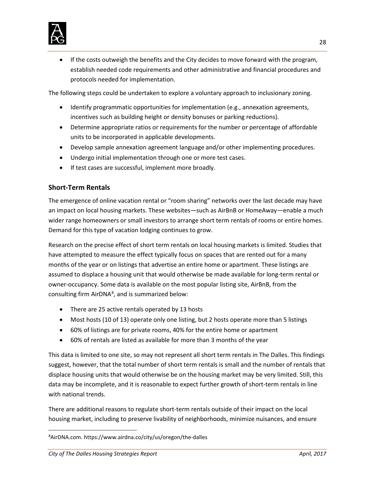

• If the costs outweigh the benefits and the City decides to move forward with the program, establish needed code requirements and other administrative and financial procedures and protocols needed for implementation.

The following steps could be undertaken to explore a voluntary approach to inclusionary zoning.

- Identify programmatic opportunities for implementation (e.g., annexation agreements, incentives such as building height or density bonuses or parking reductions).
- Determine appropriate ratios or requirements for the number or percentage of affordable units to be incorporated in applicable developments.
- Develop sample annexation agreement language and/or other implementing procedures.
- Undergo initial implementation through one or more test cases.
- If test cases are successful, implement more broadly.

# <span id="page-28-0"></span>**Short-Term Rentals**

The emergence of online vacation rental or "room sharing" networks over the last decade may have an impact on local housing markets. These websites—such as AirBnB or HomeAway—enable a much wider range homeowners or small investors to arrange short term rentals of rooms or entire homes. Demand for this type of vacation lodging continues to grow.

Research on the precise effect of short term rentals on local housing markets is limited. Studies that have attempted to measure the effect typically focus on spaces that are rented out for a many months of the year or on listings that advertise an entire home or apartment. These listings are assumed to displace a housing unit that would otherwise be made available for long-term rental or owner-occupancy. Some data is available on the most popular listing site, AirBnB, from the consulting firm AirDNA $^{8}$  $^{8}$  $^{8}$ , and is summarized below:

- There are 25 active rentals operated by 13 hosts
- Most hosts (10 of 13) operate only one listing, but 2 hosts operate more than 5 listings
- 60% of listings are for private rooms, 40% for the entire home or apartment
- 60% of rentals are listed as available for more than 3 months of the year

This data is limited to one site, so may not represent all short term rentals in The Dalles. This findings suggest, however, that the total number of short term rentals is small and the number of rentals that displace housing units that would otherwise be on the housing market may be very limited. Still, this data may be incomplete, and it is reasonable to expect further growth of short-term rentals in line with national trends.

There are additional reasons to regulate short-term rentals outside of their impact on the local housing market, including to preserve livability of neighborhoods, minimize nuisances, and ensure

<span id="page-28-1"></span> $\overline{8}$ AirDNA.com. https://www.airdna.co/city/us/oregon/the-dalles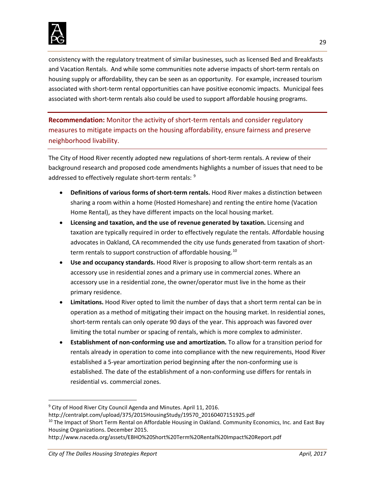

consistency with the regulatory treatment of similar businesses, such as licensed Bed and Breakfasts and Vacation Rentals. And while some communities note adverse impacts of short-term rentals on housing supply or affordability, they can be seen as an opportunity. For example, increased tourism associated with short-term rental opportunities can have positive economic impacts. Municipal fees associated with short-term rentals also could be used to support affordable housing programs.

**Recommendation:** Monitor the activity of short-term rentals and consider regulatory measures to mitigate impacts on the housing affordability, ensure fairness and preserve neighborhood livability.

The City of Hood River recently adopted new regulations of short-term rentals. A review of their background research and proposed code amendments highlights a number of issues that need to be addressed to effectively regulate short-term rentals: [9](#page-29-0)

- **Definitions of various forms of short-term rentals.** Hood River makes a distinction between sharing a room within a home (Hosted Homeshare) and renting the entire home (Vacation Home Rental), as they have different impacts on the local housing market.
- **Licensing and taxation, and the use of revenue generated by taxation.** Licensing and taxation are typically required in order to effectively regulate the rentals. Affordable housing advocates in Oakland, CA recommended the city use funds generated from taxation of short-term rentals to support construction of affordable housing.<sup>[10](#page-29-1)</sup>
- **Use and occupancy standards.** Hood River is proposing to allow short-term rentals as an accessory use in residential zones and a primary use in commercial zones. Where an accessory use in a residential zone, the owner/operator must live in the home as their primary residence.
- **Limitations.** Hood River opted to limit the number of days that a short term rental can be in operation as a method of mitigating their impact on the housing market. In residential zones, short-term rentals can only operate 90 days of the year. This approach was favored over limiting the total number or spacing of rentals, which is more complex to administer.
- **Establishment of non-conforming use and amortization.** To allow for a transition period for rentals already in operation to come into compliance with the new requirements, Hood River established a 5-year amortization period beginning after the non-conforming use is established. The date of the establishment of a non-conforming use differs for rentals in residential vs. commercial zones.

<span id="page-29-0"></span> <sup>9</sup> City of Hood River City Council Agenda and Minutes. April 11, 2016.

http://centralpt.com/upload/375/2015HousingStudy/19570\_20160407151925.pdf

<span id="page-29-1"></span><sup>&</sup>lt;sup>10</sup> The Impact of Short Term Rental on Affordable Housing in Oakland. Community Economics, Inc. and East Bay Housing Organizations. December 2015.

http://www.naceda.org/assets/EBHO%20Short%20Term%20Rental%20Impact%20Report.pdf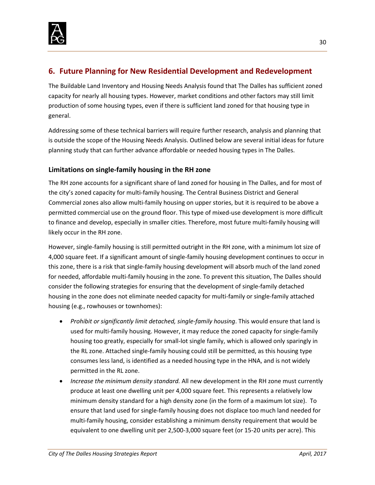

# <span id="page-30-0"></span>**6. Future Planning for New Residential Development and Redevelopment**

The Buildable Land Inventory and Housing Needs Analysis found that The Dalles has sufficient zoned capacity for nearly all housing types. However, market conditions and other factors may still limit production of some housing types, even if there is sufficient land zoned for that housing type in general.

Addressing some of these technical barriers will require further research, analysis and planning that is outside the scope of the Housing Needs Analysis. Outlined below are several initial ideas for future planning study that can further advance affordable or needed housing types in The Dalles.

# <span id="page-30-1"></span>**Limitations on single-family housing in the RH zone**

The RH zone accounts for a significant share of land zoned for housing in The Dalles, and for most of the city's zoned capacity for multi-family housing. The Central Business District and General Commercial zones also allow multi-family housing on upper stories, but it is required to be above a permitted commercial use on the ground floor. This type of mixed-use development is more difficult to finance and develop, especially in smaller cities. Therefore, most future multi-family housing will likely occur in the RH zone.

However, single-family housing is still permitted outright in the RH zone, with a minimum lot size of 4,000 square feet. If a significant amount of single-family housing development continues to occur in this zone, there is a risk that single-family housing development will absorb much of the land zoned for needed, affordable multi-family housing in the zone. To prevent this situation, The Dalles should consider the following strategies for ensuring that the development of single-family detached housing in the zone does not eliminate needed capacity for multi-family or single-family attached housing (e.g., rowhouses or townhomes):

- *Prohibit or significantly limit detached, single-family housing*. This would ensure that land is used for multi-family housing. However, it may reduce the zoned capacity for single-family housing too greatly, especially for small-lot single family, which is allowed only sparingly in the RL zone. Attached single-family housing could still be permitted, as this housing type consumes less land, is identified as a needed housing type in the HNA, and is not widely permitted in the RL zone.
- *Increase the minimum density standard.* All new development in the RH zone must currently produce at least one dwelling unit per 4,000 square feet. This represents a relatively low minimum density standard for a high density zone (in the form of a maximum lot size). To ensure that land used for single-family housing does not displace too much land needed for multi-family housing, consider establishing a minimum density requirement that would be equivalent to one dwelling unit per 2,500-3,000 square feet (or 15-20 units per acre). This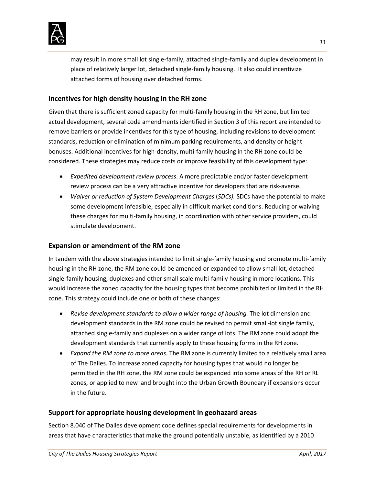

may result in more small lot single-family, attached single-family and duplex development in place of relatively larger lot, detached single-family housing. It also could incentivize attached forms of housing over detached forms.

# <span id="page-31-0"></span>**Incentives for high density housing in the RH zone**

Given that there is sufficient zoned capacity for multi-family housing in the RH zone, but limited actual development, several code amendments identified in Section 3 of this report are intended to remove barriers or provide incentives for this type of housing, including revisions to development standards, reduction or elimination of minimum parking requirements, and density or height bonuses. Additional incentives for high-density, multi-family housing in the RH zone could be considered. These strategies may reduce costs or improve feasibility of this development type:

- *Expedited development review process*. A more predictable and/or faster development review process can be a very attractive incentive for developers that are risk-averse.
- *Waiver or reduction of System Development Charges* (*SDCs).* SDCs have the potential to make some development infeasible, especially in difficult market conditions. Reducing or waiving these charges for multi-family housing, in coordination with other service providers, could stimulate development.

## <span id="page-31-1"></span>**Expansion or amendment of the RM zone**

In tandem with the above strategies intended to limit single-family housing and promote multi-family housing in the RH zone, the RM zone could be amended or expanded to allow small lot, detached single-family housing, duplexes and other small scale multi-family housing in more locations. This would increase the zoned capacity for the housing types that become prohibited or limited in the RH zone. This strategy could include one or both of these changes:

- *Revise development standards to allow a wider range of housing.* The lot dimension and development standards in the RM zone could be revised to permit small-lot single family, attached single-family and duplexes on a wider range of lots. The RM zone could adopt the development standards that currently apply to these housing forms in the RH zone.
- *Expand the RM zone to more areas.* The RM zone is currently limited to a relatively small area of The Dalles. To increase zoned capacity for housing types that would no longer be permitted in the RH zone, the RM zone could be expanded into some areas of the RH or RL zones, or applied to new land brought into the Urban Growth Boundary if expansions occur in the future.

## <span id="page-31-2"></span>**Support for appropriate housing development in geohazard areas**

Section 8.040 of The Dalles development code defines special requirements for developments in areas that have characteristics that make the ground potentially unstable, as identified by a 2010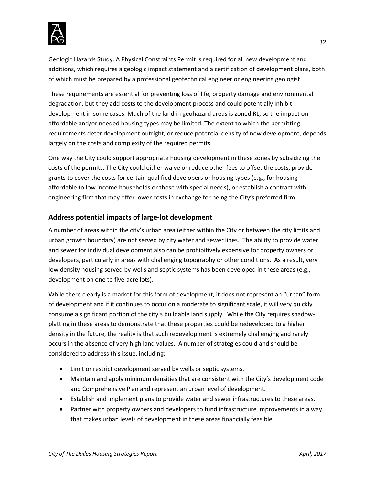

Geologic Hazards Study. A Physical Constraints Permit is required for all new development and additions, which requires a geologic impact statement and a certification of development plans, both of which must be prepared by a professional geotechnical engineer or engineering geologist.

These requirements are essential for preventing loss of life, property damage and environmental degradation, but they add costs to the development process and could potentially inhibit development in some cases. Much of the land in geohazard areas is zoned RL, so the impact on affordable and/or needed housing types may be limited. The extent to which the permitting requirements deter development outright, or reduce potential density of new development, depends largely on the costs and complexity of the required permits.

One way the City could support appropriate housing development in these zones by subsidizing the costs of the permits. The City could either waive or reduce other fees to offset the costs, provide grants to cover the costs for certain qualified developers or housing types (e.g., for housing affordable to low income households or those with special needs), or establish a contract with engineering firm that may offer lower costs in exchange for being the City's preferred firm.

# <span id="page-32-0"></span>**Address potential impacts of large-lot development**

A number of areas within the city's urban area (either within the City or between the city limits and urban growth boundary) are not served by city water and sewer lines. The ability to provide water and sewer for individual development also can be prohibitively expensive for property owners or developers, particularly in areas with challenging topography or other conditions. As a result, very low density housing served by wells and septic systems has been developed in these areas (e.g., development on one to five-acre lots).

While there clearly is a market for this form of development, it does not represent an "urban" form of development and if it continues to occur on a moderate to significant scale, it will very quickly consume a significant portion of the city's buildable land supply. While the City requires shadowplatting in these areas to demonstrate that these properties could be redeveloped to a higher density in the future, the reality is that such redevelopment is extremely challenging and rarely occurs in the absence of very high land values. A number of strategies could and should be considered to address this issue, including:

- Limit or restrict development served by wells or septic systems.
- Maintain and apply minimum densities that are consistent with the City's development code and Comprehensive Plan and represent an urban level of development.
- Establish and implement plans to provide water and sewer infrastructures to these areas.
- Partner with property owners and developers to fund infrastructure improvements in a way that makes urban levels of development in these areas financially feasible.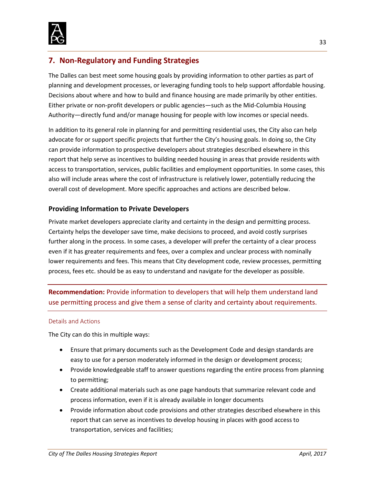

# <span id="page-33-0"></span>**7. Non-Regulatory and Funding Strategies**

The Dalles can best meet some housing goals by providing information to other parties as part of planning and development processes, or leveraging funding tools to help support affordable housing. Decisions about where and how to build and finance housing are made primarily by other entities. Either private or non-profit developers or public agencies—such as the Mid-Columbia Housing Authority—directly fund and/or manage housing for people with low incomes or special needs.

In addition to its general role in planning for and permitting residential uses, the City also can help advocate for or support specific projects that further the City's housing goals. In doing so, the City can provide information to prospective developers about strategies described elsewhere in this report that help serve as incentives to building needed housing in areas that provide residents with access to transportation, services, public facilities and employment opportunities. In some cases, this also will include areas where the cost of infrastructure is relatively lower, potentially reducing the overall cost of development. More specific approaches and actions are described below.

# <span id="page-33-1"></span>**Providing Information to Private Developers**

Private market developers appreciate clarity and certainty in the design and permitting process. Certainty helps the developer save time, make decisions to proceed, and avoid costly surprises further along in the process. In some cases, a developer will prefer the certainty of a clear process even if it has greater requirements and fees, over a complex and unclear process with nominally lower requirements and fees. This means that City development code, review processes, permitting process, fees etc. should be as easy to understand and navigate for the developer as possible.

**Recommendation:** Provide information to developers that will help them understand land use permitting process and give them a sense of clarity and certainty about requirements.

#### Details and Actions

The City can do this in multiple ways:

- Ensure that primary documents such as the Development Code and design standards are easy to use for a person moderately informed in the design or development process;
- Provide knowledgeable staff to answer questions regarding the entire process from planning to permitting;
- Create additional materials such as one page handouts that summarize relevant code and process information, even if it is already available in longer documents
- Provide information about code provisions and other strategies described elsewhere in this report that can serve as incentives to develop housing in places with good access to transportation, services and facilities;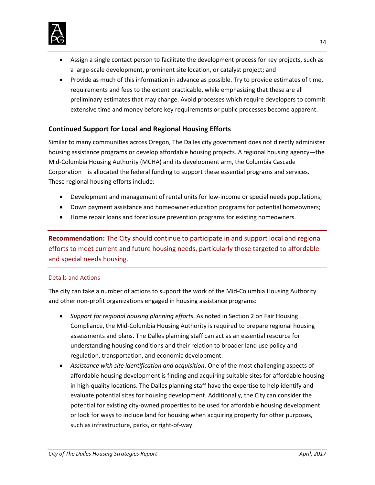

- Assign a single contact person to facilitate the development process for key projects, such as a large-scale development, prominent site location, or catalyst project; and
- Provide as much of this information in advance as possible. Try to provide estimates of time, requirements and fees to the extent practicable, while emphasizing that these are all preliminary estimates that may change. Avoid processes which require developers to commit extensive time and money before key requirements or public processes become apparent.

# <span id="page-34-0"></span>**Continued Support for Local and Regional Housing Efforts**

Similar to many communities across Oregon, The Dalles city government does not directly administer housing assistance programs or develop affordable housing projects. A regional housing agency—the Mid-Columbia Housing Authority (MCHA) and its development arm, the Columbia Cascade Corporation—is allocated the federal funding to support these essential programs and services. These regional housing efforts include:

- Development and management of rental units for low-income or special needs populations;
- Down payment assistance and homeowner education programs for potential homeowners;
- Home repair loans and foreclosure prevention programs for existing homeowners.

**Recommendation:** The City should continue to participate in and support local and regional efforts to meet current and future housing needs, particularly those targeted to affordable and special needs housing.

#### Details and Actions

The city can take a number of actions to support the work of the Mid-Columbia Housing Authority and other non-profit organizations engaged in housing assistance programs:

- *Support for regional housing planning efforts*. As noted in Section 2 on Fair Housing Compliance, the Mid-Columbia Housing Authority is required to prepare regional housing assessments and plans. The Dalles planning staff can act as an essential resource for understanding housing conditions and their relation to broader land use policy and regulation, transportation, and economic development.
- *Assistance with site identification and acquisition*. One of the most challenging aspects of affordable housing development is finding and acquiring suitable sites for affordable housing in high-quality locations. The Dalles planning staff have the expertise to help identify and evaluate potential sites for housing development. Additionally, the City can consider the potential for existing city-owned properties to be used for affordable housing development or look for ways to include land for housing when acquiring property for other purposes, such as infrastructure, parks, or right-of-way.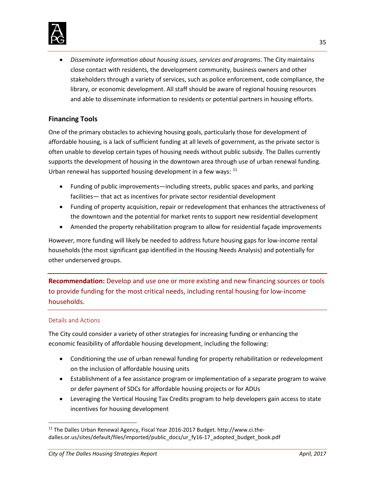

• *Disseminate information about housing issues, services and programs*. The City maintains close contact with residents, the development community, business owners and other stakeholders through a variety of services, such as police enforcement, code compliance, the library, or economic development. All staff should be aware of regional housing resources and able to disseminate information to residents or potential partners in housing efforts.

# <span id="page-35-0"></span>**Financing Tools**

One of the primary obstacles to achieving housing goals, particularly those for development of affordable housing, is a lack of sufficient funding at all levels of government, as the private sector is often unable to develop certain types of housing needs without public subsidy. The Dalles currently supports the development of housing in the downtown area through use of urban renewal funding. Urban renewal has supported housing development in a few ways: [11](#page-35-1)

- Funding of public improvements—including streets, public spaces and parks, and parking facilities— that act as incentives for private sector residential development
- Funding of property acquisition, repair or redevelopment that enhances the attractiveness of the downtown and the potential for market rents to support new residential development
- Amended the property rehabilitation program to allow for residential façade improvements

However, more funding will likely be needed to address future housing gaps for low-income rental households (the most significant gap identified in the Housing Needs Analysis) and potentially for other underserved groups.

**Recommendation:** Develop and use one or more existing and new financing sources or tools to provide funding for the most critical needs, including rental housing for low-income households.

## Details and Actions

The City could consider a variety of other strategies for increasing funding or enhancing the economic feasibility of affordable housing development, including the following:

- Conditioning the use of urban renewal funding for property rehabilitation or redevelopment on the inclusion of affordable housing units
- Establishment of a fee assistance program or implementation of a separate program to waive or defer payment of SDCs for affordable housing projects or for ADUs
- Leveraging the Vertical Housing Tax Credits program to help developers gain access to state incentives for housing development

<span id="page-35-1"></span> <sup>11</sup> The Dalles Urban Renewal Agency, Fiscal Year 2016-2017 Budget. http://www.ci.thedalles.or.us/sites/default/files/imported/public\_docs/ur\_fy16-17\_adopted\_budget\_book.pdf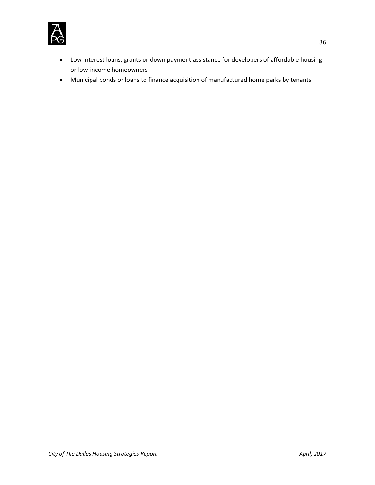

- Low interest loans, grants or down payment assistance for developers of affordable housing or low-income homeowners
- Municipal bonds or loans to finance acquisition of manufactured home parks by tenants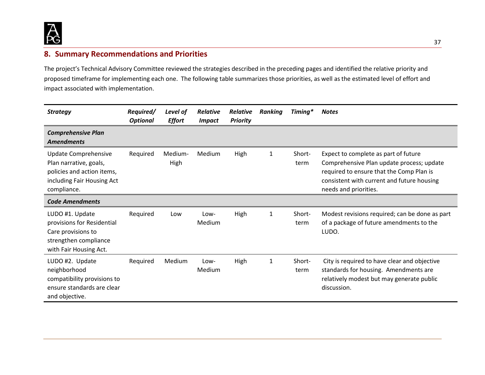

# **8. Summary Recommendations and Priorities**

The project's Technical Advisory Committee reviewed the strategies described in the preceding pages and identified the relative priority and proposed timeframe for implementing each one. The following table summarizes those priorities, as well as the estimated level of effort and impact associated with implementation.

<span id="page-37-0"></span>

| <b>Strategy</b>                                                                                                           | Required/<br><b>Optional</b> | Level of<br><b>Effort</b> | <b>Relative</b><br><b>Impact</b> | <b>Relative</b><br><b>Priority</b> | <b>Ranking</b> | Timing*        | <b>Notes</b>                                                                                                                                                                                         |
|---------------------------------------------------------------------------------------------------------------------------|------------------------------|---------------------------|----------------------------------|------------------------------------|----------------|----------------|------------------------------------------------------------------------------------------------------------------------------------------------------------------------------------------------------|
| <b>Comprehensive Plan</b><br><b>Amendments</b>                                                                            |                              |                           |                                  |                                    |                |                |                                                                                                                                                                                                      |
| Update Comprehensive<br>Plan narrative, goals,<br>policies and action items,<br>including Fair Housing Act<br>compliance. | Required                     | Medium-<br>High           | Medium                           | High                               | $\mathbf{1}$   | Short-<br>term | Expect to complete as part of future<br>Comprehensive Plan update process; update<br>required to ensure that the Comp Plan is<br>consistent with current and future housing<br>needs and priorities. |
| <b>Code Amendments</b>                                                                                                    |                              |                           |                                  |                                    |                |                |                                                                                                                                                                                                      |
| LUDO #1. Update<br>provisions for Residential<br>Care provisions to<br>strengthen compliance<br>with Fair Housing Act.    | Required                     | Low                       | Low-<br>Medium                   | High                               | 1              | Short-<br>term | Modest revisions required; can be done as part<br>of a package of future amendments to the<br>LUDO.                                                                                                  |
| LUDO #2. Update<br>neighborhood<br>compatibility provisions to<br>ensure standards are clear<br>and objective.            | Required                     | Medium                    | Low-<br>Medium                   | High                               | 1              | Short-<br>term | City is required to have clear and objective<br>standards for housing. Amendments are<br>relatively modest but may generate public<br>discussion.                                                    |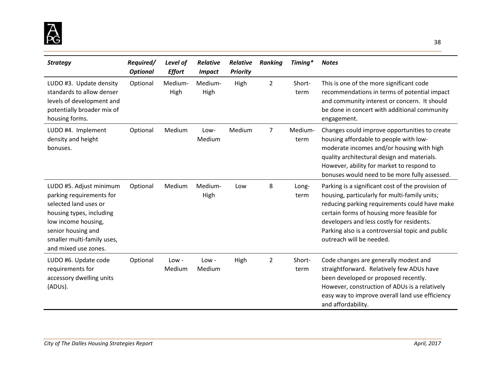

| <b>Strategy</b>                                                                                                                                                                                             | Required/<br><b>Optional</b> | Level of<br><b>Effort</b> | <b>Relative</b><br><b>Impact</b> | <b>Relative</b><br><b>Priority</b> | <b>Ranking</b> | Timing*         | <b>Notes</b>                                                                                                                                                                                                                                                                                                                   |
|-------------------------------------------------------------------------------------------------------------------------------------------------------------------------------------------------------------|------------------------------|---------------------------|----------------------------------|------------------------------------|----------------|-----------------|--------------------------------------------------------------------------------------------------------------------------------------------------------------------------------------------------------------------------------------------------------------------------------------------------------------------------------|
| LUDO #3. Update density<br>standards to allow denser<br>levels of development and<br>potentially broader mix of<br>housing forms.                                                                           | Optional                     | Medium-<br>High           | Medium-<br>High                  | High                               | $\overline{2}$ | Short-<br>term  | This is one of the more significant code<br>recommendations in terms of potential impact<br>and community interest or concern. It should<br>be done in concert with additional community<br>engagement.                                                                                                                        |
| LUDO #4. Implement<br>density and height<br>bonuses.                                                                                                                                                        | Optional                     | Medium                    | Low-<br>Medium                   | Medium                             | 7              | Medium-<br>term | Changes could improve opportunities to create<br>housing affordable to people with low-<br>moderate incomes and/or housing with high<br>quality architectural design and materials.<br>However, ability for market to respond to<br>bonuses would need to be more fully assessed.                                              |
| LUDO #5. Adjust minimum<br>parking requirements for<br>selected land uses or<br>housing types, including<br>low income housing,<br>senior housing and<br>smaller multi-family uses,<br>and mixed use zones. | Optional                     | Medium                    | Medium-<br>High                  | Low                                | 8              | Long-<br>term   | Parking is a significant cost of the provision of<br>housing, particularly for multi-family units;<br>reducing parking requirements could have make<br>certain forms of housing more feasible for<br>developers and less costly for residents.<br>Parking also is a controversial topic and public<br>outreach will be needed. |
| LUDO #6. Update code<br>requirements for<br>accessory dwelling units<br>(ADUs).                                                                                                                             | Optional                     | $Low -$<br>Medium         | $Low -$<br>Medium                | High                               | $\overline{2}$ | Short-<br>term  | Code changes are generally modest and<br>straightforward. Relatively few ADUs have<br>been developed or proposed recently.<br>However, construction of ADUs is a relatively<br>easy way to improve overall land use efficiency<br>and affordability.                                                                           |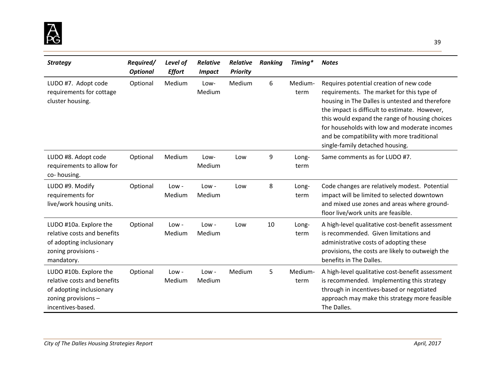

| <b>Strategy</b>                                                                                                               | Required/<br><b>Optional</b> | Level of<br><b>Effort</b> | <b>Relative</b><br><b>Impact</b> | <b>Relative</b><br><b>Priority</b> | <b>Ranking</b> | Timing*         | <b>Notes</b>                                                                                                                                                                                                                                                                                                                                                                |
|-------------------------------------------------------------------------------------------------------------------------------|------------------------------|---------------------------|----------------------------------|------------------------------------|----------------|-----------------|-----------------------------------------------------------------------------------------------------------------------------------------------------------------------------------------------------------------------------------------------------------------------------------------------------------------------------------------------------------------------------|
| LUDO #7. Adopt code<br>requirements for cottage<br>cluster housing.                                                           | Optional                     | Medium                    | Low-<br>Medium                   | Medium                             | 6              | Medium-<br>term | Requires potential creation of new code<br>requirements. The market for this type of<br>housing in The Dalles is untested and therefore<br>the impact is difficult to estimate. However,<br>this would expand the range of housing choices<br>for households with low and moderate incomes<br>and be compatibility with more traditional<br>single-family detached housing. |
| LUDO #8. Adopt code<br>requirements to allow for<br>co-housing.                                                               | Optional                     | Medium                    | Low-<br>Medium                   | Low                                | 9              | Long-<br>term   | Same comments as for LUDO #7.                                                                                                                                                                                                                                                                                                                                               |
| LUDO #9. Modify<br>requirements for<br>live/work housing units.                                                               | Optional                     | $Low -$<br>Medium         | $Low -$<br>Medium                | Low                                | 8              | Long-<br>term   | Code changes are relatively modest. Potential<br>impact will be limited to selected downtown<br>and mixed use zones and areas where ground-<br>floor live/work units are feasible.                                                                                                                                                                                          |
| LUDO #10a. Explore the<br>relative costs and benefits<br>of adopting inclusionary<br>zoning provisions -<br>mandatory.        | Optional                     | $Low -$<br>Medium         | $Low -$<br>Medium                | Low                                | 10             | Long-<br>term   | A high-level qualitative cost-benefit assessment<br>is recommended. Given limitations and<br>administrative costs of adopting these<br>provisions, the costs are likely to outweigh the<br>benefits in The Dalles.                                                                                                                                                          |
| LUDO #10b. Explore the<br>relative costs and benefits<br>of adopting inclusionary<br>zoning provisions -<br>incentives-based. | Optional                     | $Low -$<br>Medium         | $Low -$<br>Medium                | Medium                             | 5              | Medium-<br>term | A high-level qualitative cost-benefit assessment<br>is recommended. Implementing this strategy<br>through in incentives-based or negotiated<br>approach may make this strategy more feasible<br>The Dalles.                                                                                                                                                                 |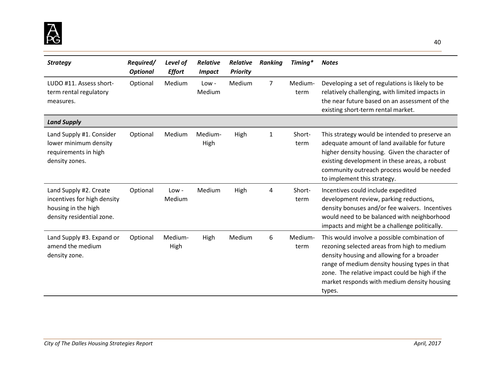

| <b>Strategy</b>                                                                                           | Required/<br><b>Optional</b> | Level of<br><b>Effort</b> | Relative<br><b>Impact</b> | <b>Relative</b><br><b>Priority</b> | <b>Ranking</b> | Timing*         | <b>Notes</b>                                                                                                                                                                                                                                                                                          |
|-----------------------------------------------------------------------------------------------------------|------------------------------|---------------------------|---------------------------|------------------------------------|----------------|-----------------|-------------------------------------------------------------------------------------------------------------------------------------------------------------------------------------------------------------------------------------------------------------------------------------------------------|
| LUDO #11. Assess short-<br>term rental regulatory<br>measures.                                            | Optional                     | Medium                    | $Low -$<br>Medium         | Medium                             | 7              | Medium-<br>term | Developing a set of regulations is likely to be<br>relatively challenging, with limited impacts in<br>the near future based on an assessment of the<br>existing short-term rental market.                                                                                                             |
| <b>Land Supply</b>                                                                                        |                              |                           |                           |                                    |                |                 |                                                                                                                                                                                                                                                                                                       |
| Land Supply #1. Consider<br>lower minimum density<br>requirements in high<br>density zones.               | Optional                     | Medium                    | Medium-<br>High           | High                               | 1              | Short-<br>term  | This strategy would be intended to preserve an<br>adequate amount of land available for future<br>higher density housing. Given the character of<br>existing development in these areas, a robust<br>community outreach process would be needed<br>to implement this strategy.                        |
| Land Supply #2. Create<br>incentives for high density<br>housing in the high<br>density residential zone. | Optional                     | $Low -$<br>Medium         | Medium                    | High                               | 4              | Short-<br>term  | Incentives could include expedited<br>development review, parking reductions,<br>density bonuses and/or fee waivers. Incentives<br>would need to be balanced with neighborhood<br>impacts and might be a challenge politically.                                                                       |
| Land Supply #3. Expand or<br>amend the medium<br>density zone.                                            | Optional                     | Medium-<br>High           | High                      | Medium                             | 6              | Medium-<br>term | This would involve a possible combination of<br>rezoning selected areas from high to medium<br>density housing and allowing for a broader<br>range of medium density housing types in that<br>zone. The relative impact could be high if the<br>market responds with medium density housing<br>types. |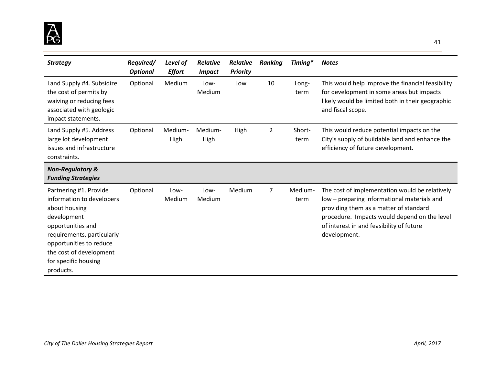

| <b>Strategy</b>                                                                                                                                                                                                                   | Required/<br><b>Optional</b> | Level of<br><b>Effort</b> | <b>Relative</b><br><i><b>Impact</b></i> | <b>Relative</b><br><b>Priority</b> | <b>Ranking</b> | Timing*         | <b>Notes</b>                                                                                                                                                                                                                                        |
|-----------------------------------------------------------------------------------------------------------------------------------------------------------------------------------------------------------------------------------|------------------------------|---------------------------|-----------------------------------------|------------------------------------|----------------|-----------------|-----------------------------------------------------------------------------------------------------------------------------------------------------------------------------------------------------------------------------------------------------|
| Land Supply #4. Subsidize<br>the cost of permits by<br>waiving or reducing fees<br>associated with geologic<br>impact statements.                                                                                                 | Optional                     | Medium                    | Low-<br>Medium                          | Low                                | 10             | Long-<br>term   | This would help improve the financial feasibility<br>for development in some areas but impacts<br>likely would be limited both in their geographic<br>and fiscal scope.                                                                             |
| Land Supply #5. Address<br>large lot development<br>issues and infrastructure<br>constraints.                                                                                                                                     | Optional                     | Medium-<br>High           | Medium-<br>High                         | High                               | 2              | Short-<br>term  | This would reduce potential impacts on the<br>City's supply of buildable land and enhance the<br>efficiency of future development.                                                                                                                  |
| <b>Non-Regulatory &amp;</b><br><b>Funding Strategies</b>                                                                                                                                                                          |                              |                           |                                         |                                    |                |                 |                                                                                                                                                                                                                                                     |
| Partnering #1. Provide<br>information to developers<br>about housing<br>development<br>opportunities and<br>requirements, particularly<br>opportunities to reduce<br>the cost of development<br>for specific housing<br>products. | Optional                     | Low-<br>Medium            | Low-<br>Medium                          | Medium                             | 7              | Medium-<br>term | The cost of implementation would be relatively<br>low – preparing informational materials and<br>providing them as a matter of standard<br>procedure. Impacts would depend on the level<br>of interest in and feasibility of future<br>development. |